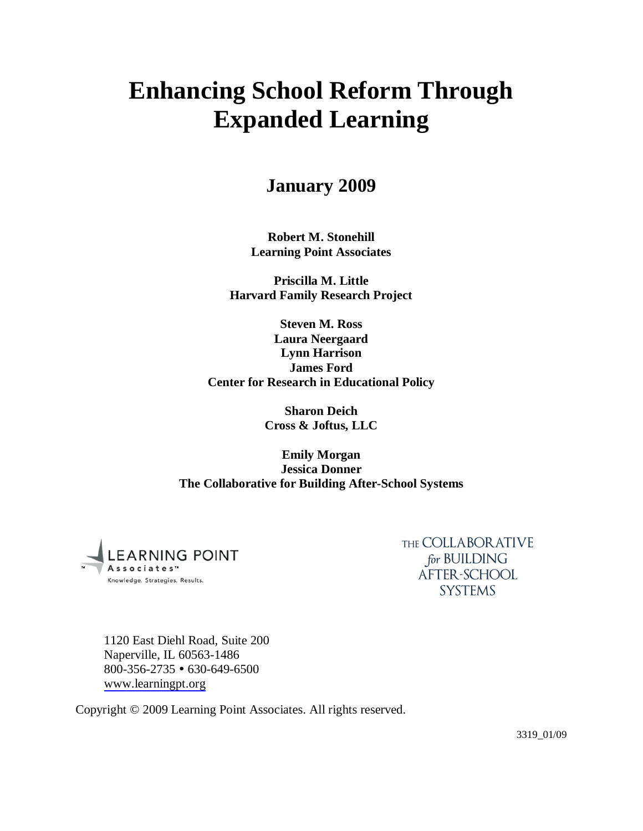# **Enhancing School Reform Through Expanded Learning**

# **January 2009**

**Robert M. Stonehill Learning Point Associates**

**Priscilla M. Little Harvard Family Research Project**

**Steven M. Ross Laura Neergaard Lynn Harrison James Ford Center for Research in Educational Policy**

> **Sharon Deich Cross & Joftus, LLC**

**Emily Morgan Jessica Donner The Collaborative for Building After-School Systems**



THE COLLABOR ATIVE for BUILDING AFTER-SCHOOL **SYSTEMS** 

1120 East Diehl Road, Suite 200 Naperville, IL 60563-1486  $800-356-2735$  • 630-649-6500 [www.learningpt.org](http://www.learningpt.org/)

Copyright © 2009 Learning Point Associates. All rights reserved.

3319\_01/09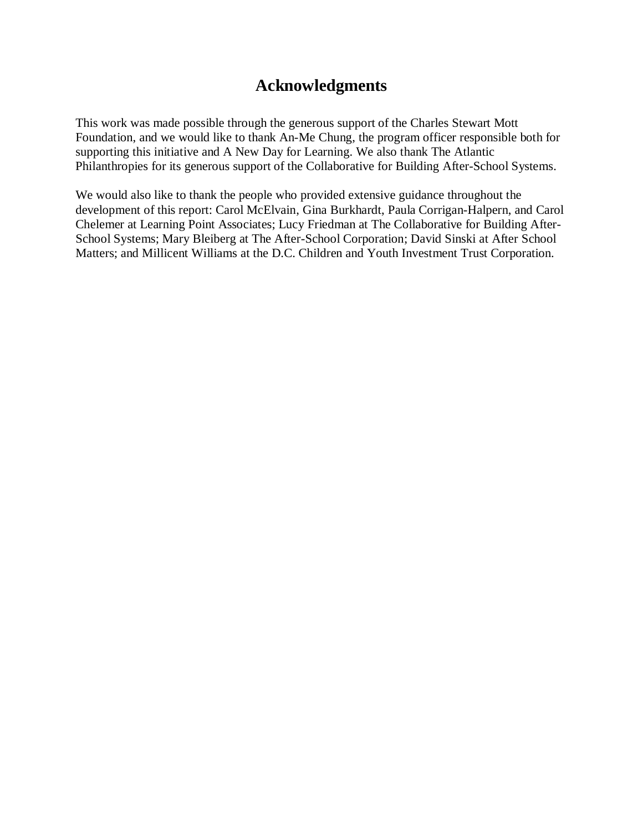# **Acknowledgments**

This work was made possible through the generous support of the Charles Stewart Mott Foundation, and we would like to thank An-Me Chung, the program officer responsible both for supporting this initiative and A New Day for Learning. We also thank The Atlantic Philanthropies for its generous support of the Collaborative for Building After-School Systems.

We would also like to thank the people who provided extensive guidance throughout the development of this report: Carol McElvain, Gina Burkhardt, Paula Corrigan-Halpern, and Carol Chelemer at Learning Point Associates; Lucy Friedman at The Collaborative for Building After-School Systems; Mary Bleiberg at The After-School Corporation; David Sinski at After School Matters; and Millicent Williams at the D.C. Children and Youth Investment Trust Corporation.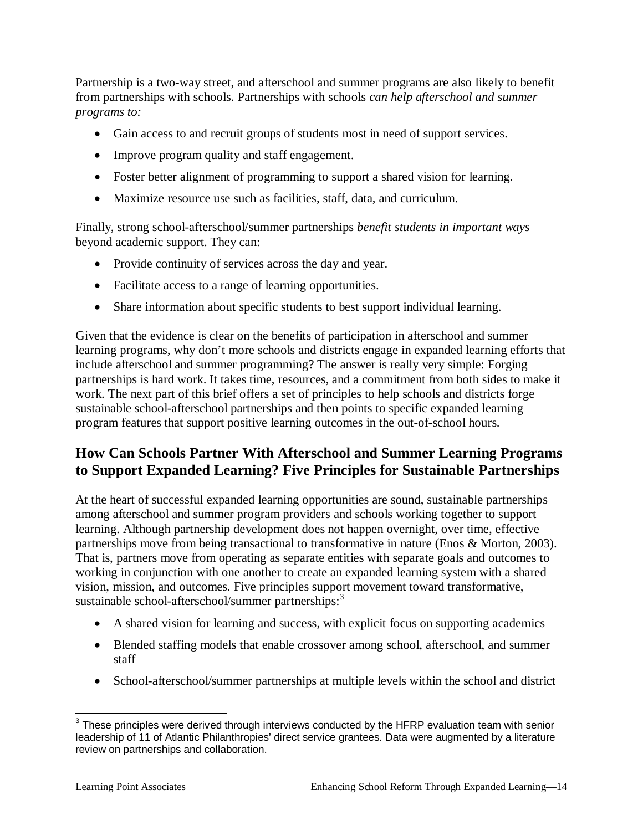Partnership is a two-way street, and afterschool and summer programs are also likely to benefit from partnerships with schools. Partnerships with schools *can help afterschool and summer programs to:*

- Gain access to and recruit groups of students most in need of support services.
- Improve program quality and staff engagement.
- Foster better alignment of programming to support a shared vision for learning.
- Maximize resource use such as facilities, staff, data, and curriculum.

Finally, strong school-afterschool/summer partnerships *benefit students in important ways* beyond academic support. They can:

- Provide continuity of services across the day and year.
- Facilitate access to a range of learning opportunities.
- Share information about specific students to best support individual learning.

Given that the evidence is clear on the benefits of participation in afterschool and summer learning programs, why don't more schools and districts engage in expanded learning efforts that include afterschool and summer programming? The answer is really very simple: Forging partnerships is hard work. It takes time, resources, and a commitment from both sides to make it work. The next part of this brief offers a set of principles to help schools and districts forge sustainable school-afterschool partnerships and then points to specific expanded learning program features that support positive learning outcomes in the out-of-school hours.

# **How Can Schools Partner With Afterschool and Summer Learning Programs to Support Expanded Learning? Five Principles for Sustainable Partnerships**

At the heart of successful expanded learning opportunities are sound, sustainable partnerships among afterschool and summer program providers and schools working together to support learning. Although partnership development does not happen overnight, over time, effective partnerships move from being transactional to transformative in nature (Enos & Morton, 2003). That is, partners move from operating as separate entities with separate goals and outcomes to working in conjunction with one another to create an expanded learning system with a shared vision, mission, and outcomes. Five principles support movement toward transformative, sustainable school-afterschool/summer partnerships:<sup>3</sup>

- A shared vision for learning and success, with explicit focus on supporting academics
- Blended staffing models that enable crossover among school, afterschool, and summer staff
- School-afterschool/summer partnerships at multiple levels within the school and district

 $^3$  These principles were derived through interviews conducted by the HFRP evaluation team with senior leadership of 11 of Atlantic Philanthropies' direct service grantees. Data were augmented by a literature review on partnerships and collaboration.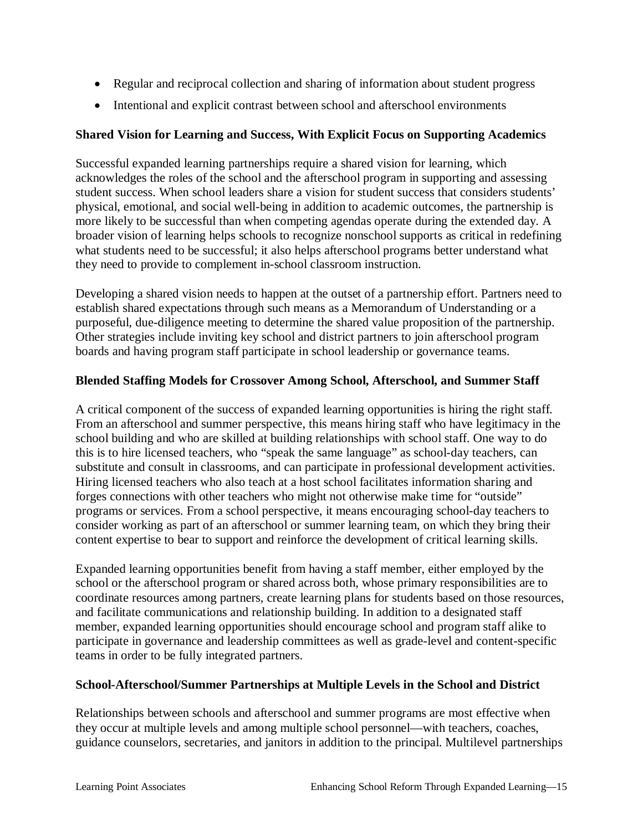- Regular and reciprocal collection and sharing of information about student progress
- Intentional and explicit contrast between school and afterschool environments

## **Shared Vision for Learning and Success, With Explicit Focus on Supporting Academics**

Successful expanded learning partnerships require a shared vision for learning, which acknowledges the roles of the school and the afterschool program in supporting and assessing student success. When school leaders share a vision for student success that considers students' physical, emotional, and social well-being in addition to academic outcomes, the partnership is more likely to be successful than when competing agendas operate during the extended day. A broader vision of learning helps schools to recognize nonschool supports as critical in redefining what students need to be successful; it also helps afterschool programs better understand what they need to provide to complement in-school classroom instruction.

Developing a shared vision needs to happen at the outset of a partnership effort. Partners need to establish shared expectations through such means as a Memorandum of Understanding or a purposeful, due-diligence meeting to determine the shared value proposition of the partnership. Other strategies include inviting key school and district partners to join afterschool program boards and having program staff participate in school leadership or governance teams.

### **Blended Staffing Models for Crossover Among School, Afterschool, and Summer Staff**

A critical component of the success of expanded learning opportunities is hiring the right staff. From an afterschool and summer perspective, this means hiring staff who have legitimacy in the school building and who are skilled at building relationships with school staff. One way to do this is to hire licensed teachers, who "speak the same language" as school-day teachers, can substitute and consult in classrooms, and can participate in professional development activities. Hiring licensed teachers who also teach at a host school facilitates information sharing and forges connections with other teachers who might not otherwise make time for "outside" programs or services. From a school perspective, it means encouraging school-day teachers to consider working as part of an afterschool or summer learning team, on which they bring their content expertise to bear to support and reinforce the development of critical learning skills.

Expanded learning opportunities benefit from having a staff member, either employed by the school or the afterschool program or shared across both, whose primary responsibilities are to coordinate resources among partners, create learning plans for students based on those resources, and facilitate communications and relationship building. In addition to a designated staff member, expanded learning opportunities should encourage school and program staff alike to participate in governance and leadership committees as well as grade-level and content-specific teams in order to be fully integrated partners.

### **School-Afterschool/Summer Partnerships at Multiple Levels in the School and District**

Relationships between schools and afterschool and summer programs are most effective when they occur at multiple levels and among multiple school personnel—with teachers, coaches, guidance counselors, secretaries, and janitors in addition to the principal. Multilevel partnerships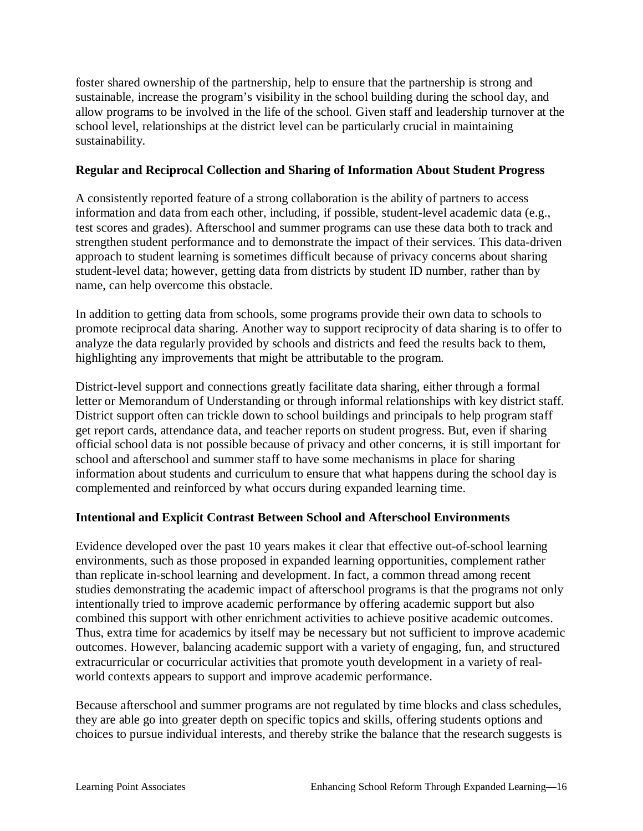foster shared ownership of the partnership, help to ensure that the partnership is strong and sustainable, increase the program's visibility in the school building during the school day, and allow programs to be involved in the life of the school. Given staff and leadership turnover at the school level, relationships at the district level can be particularly crucial in maintaining sustainability.

### **Regular and Reciprocal Collection and Sharing of Information About Student Progress**

A consistently reported feature of a strong collaboration is the ability of partners to access information and data from each other, including, if possible, student-level academic data (e.g., test scores and grades). Afterschool and summer programs can use these data both to track and strengthen student performance and to demonstrate the impact of their services. This data-driven approach to student learning is sometimes difficult because of privacy concerns about sharing student-level data; however, getting data from districts by student ID number, rather than by name, can help overcome this obstacle.

In addition to getting data from schools, some programs provide their own data to schools to promote reciprocal data sharing. Another way to support reciprocity of data sharing is to offer to analyze the data regularly provided by schools and districts and feed the results back to them, highlighting any improvements that might be attributable to the program.

District-level support and connections greatly facilitate data sharing, either through a formal letter or Memorandum of Understanding or through informal relationships with key district staff. District support often can trickle down to school buildings and principals to help program staff get report cards, attendance data, and teacher reports on student progress. But, even if sharing official school data is not possible because of privacy and other concerns, it is still important for school and afterschool and summer staff to have some mechanisms in place for sharing information about students and curriculum to ensure that what happens during the school day is complemented and reinforced by what occurs during expanded learning time.

### **Intentional and Explicit Contrast Between School and Afterschool Environments**

Evidence developed over the past 10 years makes it clear that effective out-of-school learning environments, such as those proposed in expanded learning opportunities, complement rather than replicate in-school learning and development. In fact, a common thread among recent studies demonstrating the academic impact of afterschool programs is that the programs not only intentionally tried to improve academic performance by offering academic support but also combined this support with other enrichment activities to achieve positive academic outcomes. Thus, extra time for academics by itself may be necessary but not sufficient to improve academic outcomes. However, balancing academic support with a variety of engaging, fun, and structured extracurricular or cocurricular activities that promote youth development in a variety of realworld contexts appears to support and improve academic performance.

Because afterschool and summer programs are not regulated by time blocks and class schedules, they are able go into greater depth on specific topics and skills, offering students options and choices to pursue individual interests, and thereby strike the balance that the research suggests is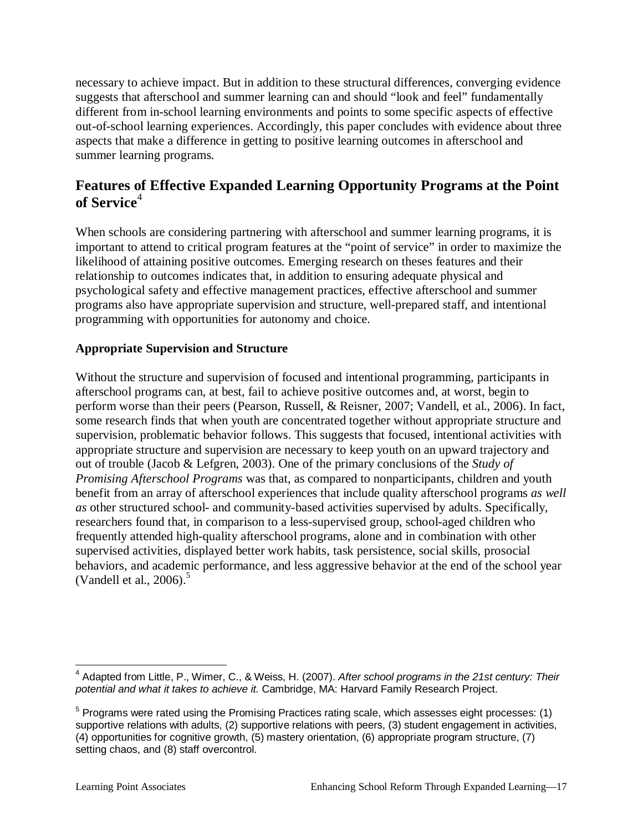necessary to achieve impact. But in addition to these structural differences, converging evidence suggests that afterschool and summer learning can and should "look and feel" fundamentally different from in-school learning environments and points to some specific aspects of effective out-of-school learning experiences. Accordingly, this paper concludes with evidence about three aspects that make a difference in getting to positive learning outcomes in afterschool and summer learning programs.

# **Features of Effective Expanded Learning Opportunity Programs at the Point**  of Service<sup>4</sup>

When schools are considering partnering with afterschool and summer learning programs, it is important to attend to critical program features at the "point of service" in order to maximize the likelihood of attaining positive outcomes. Emerging research on theses features and their relationship to outcomes indicates that, in addition to ensuring adequate physical and psychological safety and effective management practices, effective afterschool and summer programs also have appropriate supervision and structure, well-prepared staff, and intentional programming with opportunities for autonomy and choice.

### **Appropriate Supervision and Structure**

Without the structure and supervision of focused and intentional programming, participants in afterschool programs can, at best, fail to achieve positive outcomes and, at worst, begin to perform worse than their peers (Pearson, Russell, & Reisner, 2007; Vandell, et al., 2006). In fact, some research finds that when youth are concentrated together without appropriate structure and supervision, problematic behavior follows. This suggests that focused, intentional activities with appropriate structure and supervision are necessary to keep youth on an upward trajectory and out of trouble (Jacob & Lefgren, 2003). One of the primary conclusions of the *Study of Promising Afterschool Programs* was that, as compared to nonparticipants, children and youth benefit from an array of afterschool experiences that include quality afterschool programs *as well as* other structured school- and community-based activities supervised by adults. Specifically, researchers found that, in comparison to a less-supervised group, school-aged children who frequently attended high-quality afterschool programs, alone and in combination with other supervised activities, displayed better work habits, task persistence, social skills, prosocial behaviors, and academic performance, and less aggressive behavior at the end of the school year (Vandell et al., 2006). 5

<sup>4</sup> Adapted from Little, P., Wimer, C., & Weiss, H. (2007). *After school programs in the 21st century: Their potential and what it takes to achieve it.* Cambridge, MA: Harvard Family Research Project.

<sup>&</sup>lt;sup>5</sup> Programs were rated using the Promising Practices rating scale, which assesses eight processes: (1) supportive relations with adults, (2) supportive relations with peers, (3) student engagement in activities, (4) opportunities for cognitive growth, (5) mastery orientation, (6) appropriate program structure, (7) setting chaos, and (8) staff overcontrol.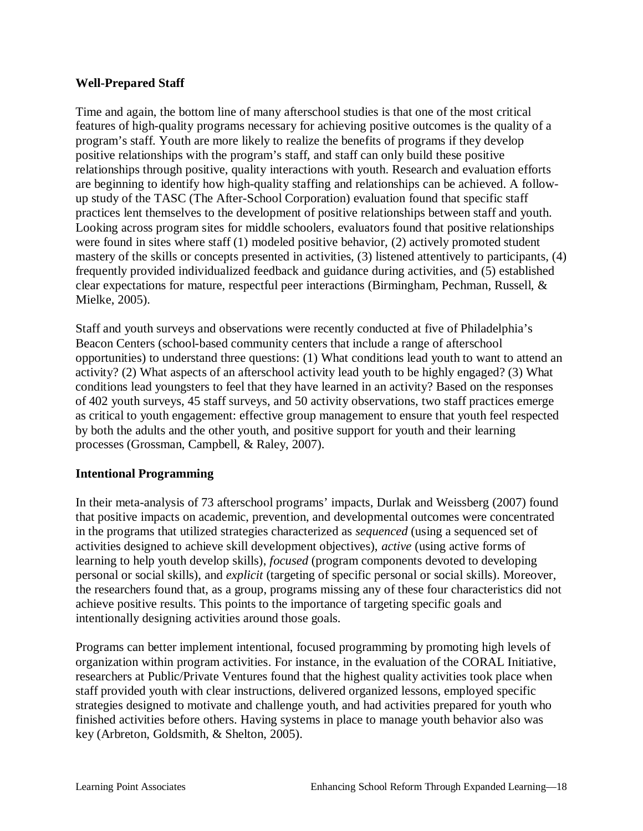#### **Well-Prepared Staff**

Time and again, the bottom line of many afterschool studies is that one of the most critical features of high-quality programs necessary for achieving positive outcomes is the quality of a program's staff. Youth are more likely to realize the benefits of programs if they develop positive relationships with the program's staff, and staff can only build these positive relationships through positive, quality interactions with youth. Research and evaluation efforts are beginning to identify how high-quality staffing and relationships can be achieved. A followup study of the TASC (The After-School Corporation) evaluation found that specific staff practices lent themselves to the development of positive relationships between staff and youth. Looking across program sites for middle schoolers, evaluators found that positive relationships were found in sites where staff (1) modeled positive behavior, (2) actively promoted student mastery of the skills or concepts presented in activities, (3) listened attentively to participants, (4) frequently provided individualized feedback and guidance during activities, and (5) established clear expectations for mature, respectful peer interactions (Birmingham, Pechman, Russell, & Mielke, 2005).

Staff and youth surveys and observations were recently conducted at five of Philadelphia's Beacon Centers (school-based community centers that include a range of afterschool opportunities) to understand three questions: (1) What conditions lead youth to want to attend an activity? (2) What aspects of an afterschool activity lead youth to be highly engaged? (3) What conditions lead youngsters to feel that they have learned in an activity? Based on the responses of 402 youth surveys, 45 staff surveys, and 50 activity observations, two staff practices emerge as critical to youth engagement: effective group management to ensure that youth feel respected by both the adults and the other youth, and positive support for youth and their learning processes (Grossman, Campbell, & Raley, 2007).

#### **Intentional Programming**

In their meta-analysis of 73 afterschool programs' impacts, Durlak and Weissberg (2007) found that positive impacts on academic, prevention, and developmental outcomes were concentrated in the programs that utilized strategies characterized as *sequenced* (using a sequenced set of activities designed to achieve skill development objectives), *active* (using active forms of learning to help youth develop skills), *focused* (program components devoted to developing personal or social skills), and *explicit* (targeting of specific personal or social skills). Moreover, the researchers found that, as a group, programs missing any of these four characteristics did not achieve positive results. This points to the importance of targeting specific goals and intentionally designing activities around those goals.

Programs can better implement intentional, focused programming by promoting high levels of organization within program activities. For instance, in the evaluation of the CORAL Initiative, researchers at Public/Private Ventures found that the highest quality activities took place when staff provided youth with clear instructions, delivered organized lessons, employed specific strategies designed to motivate and challenge youth, and had activities prepared for youth who finished activities before others. Having systems in place to manage youth behavior also was key (Arbreton, Goldsmith, & Shelton, 2005).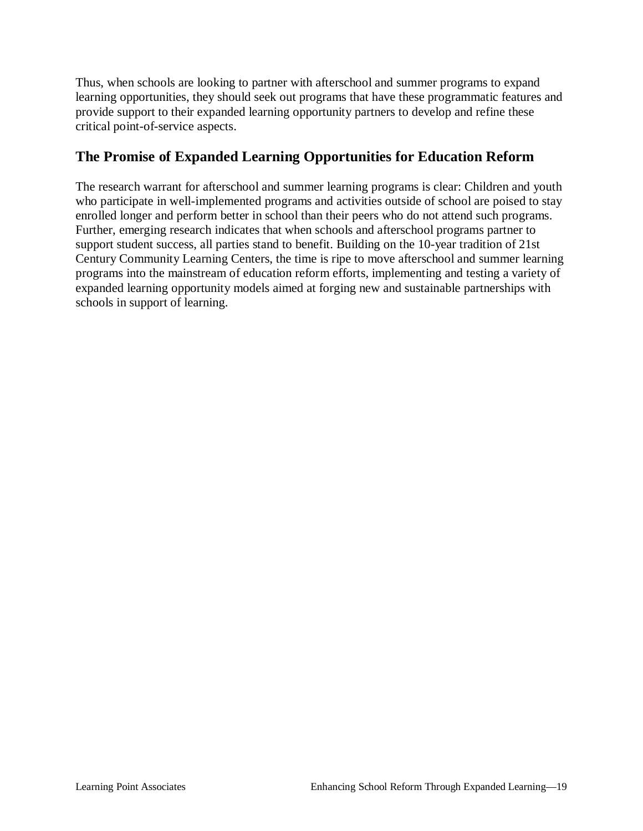Thus, when schools are looking to partner with afterschool and summer programs to expand learning opportunities, they should seek out programs that have these programmatic features and provide support to their expanded learning opportunity partners to develop and refine these critical point-of-service aspects.

# **The Promise of Expanded Learning Opportunities for Education Reform**

The research warrant for afterschool and summer learning programs is clear: Children and youth who participate in well-implemented programs and activities outside of school are poised to stay enrolled longer and perform better in school than their peers who do not attend such programs. Further, emerging research indicates that when schools and afterschool programs partner to support student success, all parties stand to benefit. Building on the 10-year tradition of 21st Century Community Learning Centers, the time is ripe to move afterschool and summer learning programs into the mainstream of education reform efforts, implementing and testing a variety of expanded learning opportunity models aimed at forging new and sustainable partnerships with schools in support of learning.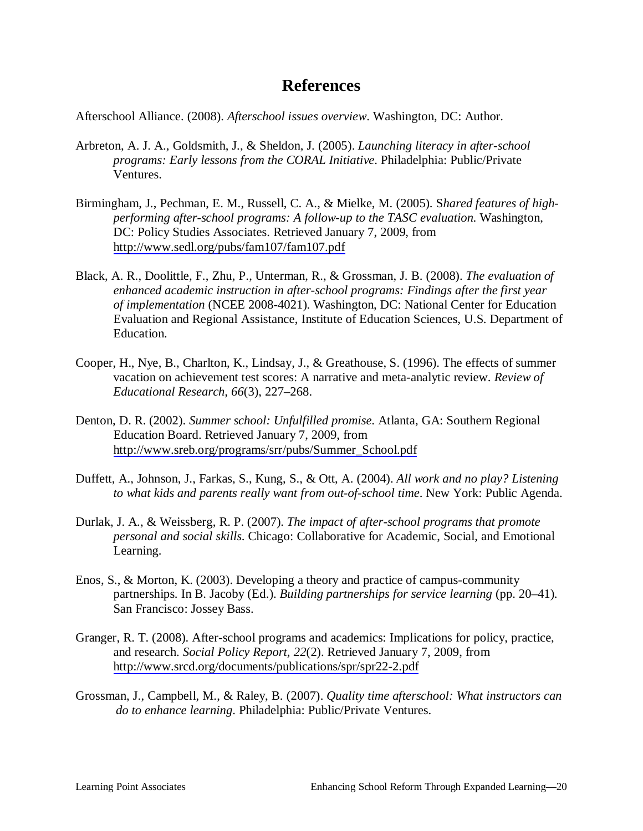# **References**

Afterschool Alliance. (2008). *Afterschool issues overview*. Washington, DC: Author.

- Arbreton, A. J. A., Goldsmith, J., & Sheldon, J. (2005). *Launching literacy in after-school programs: Early lessons from the CORAL Initiative*. Philadelphia: Public/Private Ventures.
- Birmingham, J., Pechman, E. M., Russell, C. A., & Mielke, M. (2005). S*hared features of highperforming after-school programs: A follow-up to the TASC evaluation*. Washington, DC: Policy Studies Associates. Retrieved January 7, 2009, from <http://www.sedl.org/pubs/fam107/fam107.pdf>
- Black, A. R., Doolittle, F., Zhu, P., Unterman, R., & Grossman, J. B. (2008). *The evaluation of enhanced academic instruction in after-school programs: Findings after the first year of implementation* (NCEE 2008-4021). Washington, DC: National Center for Education Evaluation and Regional Assistance, Institute of Education Sciences, U.S. Department of Education.
- Cooper, H., Nye, B., Charlton, K., Lindsay, J., & Greathouse, S. (1996). The effects of summer vacation on achievement test scores: A narrative and meta-analytic review. *Review of Educational Research, 66*(3), 227–268.
- Denton, D. R. (2002). *Summer school: Unfulfilled promise*. Atlanta, GA: Southern Regional Education Board. Retrieved January 7, 2009, from [http://www.sreb.org/programs/srr/pubs/Summer\\_School.pdf](http://www.sreb.org/programs/srr/pubs/Summer_School.pdf)
- Duffett, A., Johnson, J., Farkas, S., Kung, S., & Ott, A. (2004). *All work and no play? Listening to what kids and parents really want from out-of-school time*. New York: Public Agenda.
- Durlak, J. A., & Weissberg, R. P. (2007). *The impact of after-school programs that promote personal and social skills*. Chicago: Collaborative for Academic, Social, and Emotional Learning.
- Enos, S., & Morton, K. (2003). Developing a theory and practice of campus-community partnerships. In B. Jacoby (Ed.). *Building partnerships for service learning* (pp. 20–41). San Francisco: Jossey Bass.
- Granger, R. T. (2008). After-school programs and academics: Implications for policy, practice, and research. *Social Policy Report, 22*(2). Retrieved January 7, 2009, from <http://www.srcd.org/documents/publications/spr/spr22-2.pdf>
- Grossman, J., Campbell, M., & Raley, B. (2007). *Quality time afterschool: What instructors can do to enhance learning*. Philadelphia: Public/Private Ventures.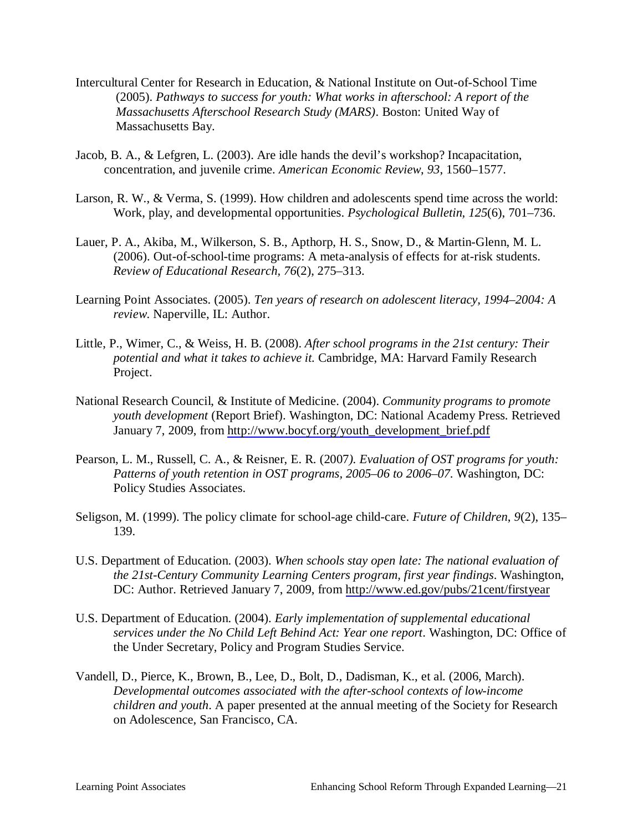- Intercultural Center for Research in Education, & National Institute on Out-of-School Time (2005). *Pathways to success for youth: What works in afterschool: A report of the Massachusetts Afterschool Research Study (MARS)*. Boston: United Way of Massachusetts Bay.
- Jacob, B. A., & Lefgren, L. (2003). Are idle hands the devil's workshop? Incapacitation, concentration, and juvenile crime. *American Economic Review*, *93*, 1560–1577.
- Larson, R. W., & Verma, S. (1999). How children and adolescents spend time across the world: Work, play, and developmental opportunities. *Psychological Bulletin, 125*(6), 701–736.
- Lauer, P. A., Akiba, M., Wilkerson, S. B., Apthorp, H. S., Snow, D., & Martin-Glenn, M. L. (2006). Out-of-school-time programs: A meta-analysis of effects for at-risk students. *Review of Educational Research, 76*(2), 275–313.
- Learning Point Associates. (2005). *Ten years of research on adolescent literacy, 1994–2004: A review*. Naperville, IL: Author.
- Little, P., Wimer, C., & Weiss, H. B. (2008). *After school programs in the 21st century: Their potential and what it takes to achieve it.* Cambridge, MA: Harvard Family Research Project.
- National Research Council, & Institute of Medicine. (2004). *Community programs to promote youth development* (Report Brief). Washington, DC: National Academy Press. Retrieved January 7, 2009, from [http://www.bocyf.org/youth\\_development\\_brief.pdf](http://www.bocyf.org/youth_development_brief.pdf)
- Pearson, L. M., Russell, C. A., & Reisner, E. R. (2007*). Evaluation of OST programs for youth: Patterns of youth retention in OST programs, 2005–06 to 2006–07*. Washington, DC: Policy Studies Associates.
- Seligson, M. (1999). The policy climate for school-age child-care. *Future of Children*, *9*(2), 135– 139.
- U.S. Department of Education. (2003). *When schools stay open late: The national evaluation of the 21st-Century Community Learning Centers program, first year findings*. Washington, DC: Author. Retrieved January 7, 2009, from<http://www.ed.gov/pubs/21cent/firstyear>
- U.S. Department of Education. (2004). *Early implementation of supplemental educational services under the No Child Left Behind Act: Year one report*. Washington, DC: Office of the Under Secretary, Policy and Program Studies Service.
- Vandell, D., Pierce, K., Brown, B., Lee, D., Bolt, D., Dadisman, K., et al. (2006, March). *Developmental outcomes associated with the after-school contexts of low-income children and youth*. A paper presented at the annual meeting of the Society for Research on Adolescence, San Francisco, CA.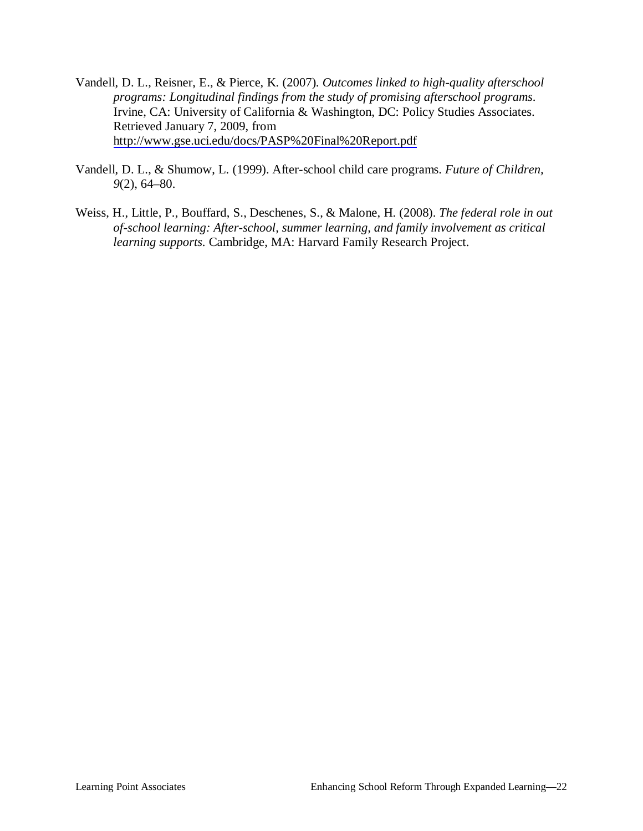- Vandell, D. L., Reisner, E., & Pierce, K. (2007). *Outcomes linked to high-quality afterschool programs: Longitudinal findings from the study of promising afterschool programs*. Irvine, CA: University of California & Washington, DC: Policy Studies Associates. Retrieved January 7, 2009, from <http://www.gse.uci.edu/docs/PASP%20Final%20Report.pdf>
- Vandell, D. L., & Shumow, L. (1999). After-school child care programs. *Future of Children, 9*(2), 64–80.
- Weiss, H., Little, P., Bouffard, S., Deschenes, S., & Malone, H. (2008). *The federal role in out of-school learning: After-school, summer learning, and family involvement as critical learning supports*. Cambridge, MA: Harvard Family Research Project.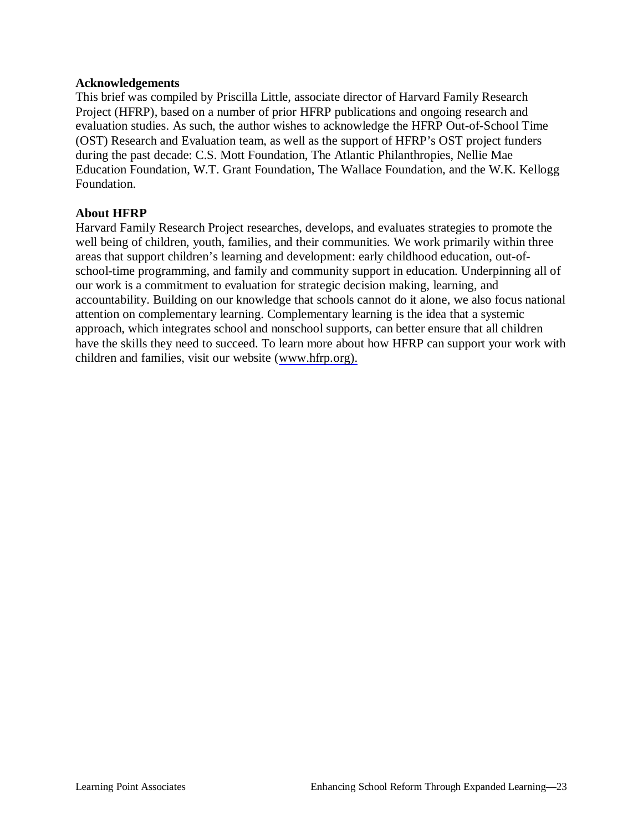#### **Acknowledgements**

This brief was compiled by Priscilla Little, associate director of Harvard Family Research Project (HFRP), based on a number of prior HFRP publications and ongoing research and evaluation studies. As such, the author wishes to acknowledge the HFRP Out-of-School Time (OST) Research and Evaluation team, as well as the support of HFRP's OST project funders during the past decade: C.S. Mott Foundation, The Atlantic Philanthropies, Nellie Mae Education Foundation, W.T. Grant Foundation, The Wallace Foundation, and the W.K. Kellogg Foundation.

#### **About HFRP**

Harvard Family Research Project researches, develops, and evaluates strategies to promote the well being of children, youth, families, and their communities. We work primarily within three areas that support children's learning and development: early childhood education, out-ofschool-time programming, and family and community support in education. Underpinning all of our work is a commitment to evaluation for strategic decision making, learning, and accountability. Building on our knowledge that schools cannot do it alone, we also focus national attention on complementary learning. Complementary learning is the idea that a systemic approach, which integrates school and nonschool supports, can better ensure that all children have the skills they need to succeed. To learn more about how HFRP can support your work with children and families, visit our website ([www.hfrp.org\).](http://www.hfrp.org)./)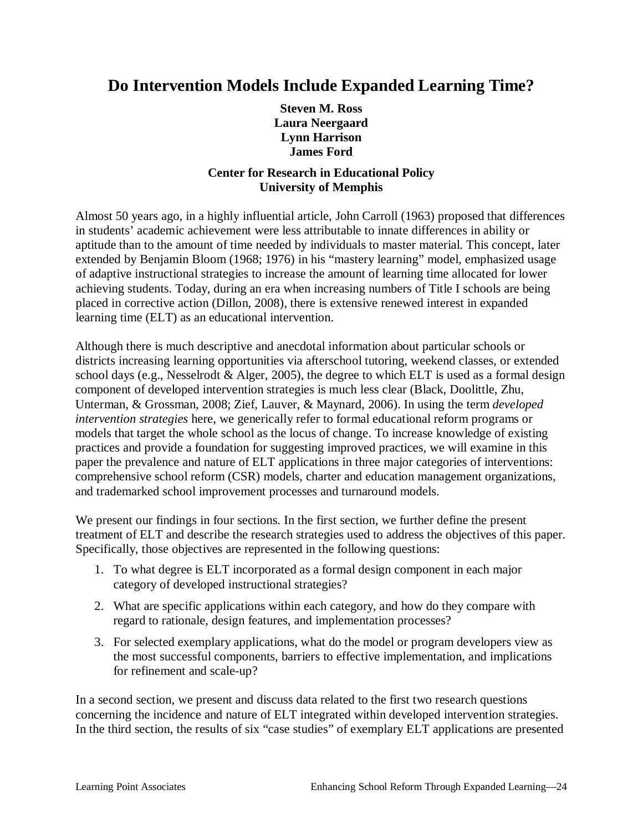# **Do Intervention Models Include Expanded Learning Time?**

**Steven M. Ross Laura Neergaard Lynn Harrison James Ford**

### **Center for Research in Educational Policy University of Memphis**

Almost 50 years ago, in a highly influential article, John Carroll (1963) proposed that differences in students' academic achievement were less attributable to innate differences in ability or aptitude than to the amount of time needed by individuals to master material. This concept, later extended by Benjamin Bloom (1968; 1976) in his "mastery learning" model, emphasized usage of adaptive instructional strategies to increase the amount of learning time allocated for lower achieving students. Today, during an era when increasing numbers of Title I schools are being placed in corrective action (Dillon, 2008), there is extensive renewed interest in expanded learning time (ELT) as an educational intervention.

Although there is much descriptive and anecdotal information about particular schools or districts increasing learning opportunities via afterschool tutoring, weekend classes, or extended school days (e.g., Nesselrodt & Alger, 2005), the degree to which ELT is used as a formal design component of developed intervention strategies is much less clear (Black, Doolittle, Zhu, Unterman, & Grossman, 2008; Zief, Lauver, & Maynard, 2006). In using the term *developed intervention strategies* here, we generically refer to formal educational reform programs or models that target the whole school as the locus of change. To increase knowledge of existing practices and provide a foundation for suggesting improved practices, we will examine in this paper the prevalence and nature of ELT applications in three major categories of interventions: comprehensive school reform (CSR) models, charter and education management organizations, and trademarked school improvement processes and turnaround models.

We present our findings in four sections. In the first section, we further define the present treatment of ELT and describe the research strategies used to address the objectives of this paper. Specifically, those objectives are represented in the following questions:

- 1. To what degree is ELT incorporated as a formal design component in each major category of developed instructional strategies?
- 2. What are specific applications within each category, and how do they compare with regard to rationale, design features, and implementation processes?
- 3. For selected exemplary applications, what do the model or program developers view as the most successful components, barriers to effective implementation, and implications for refinement and scale-up?

In a second section, we present and discuss data related to the first two research questions concerning the incidence and nature of ELT integrated within developed intervention strategies. In the third section, the results of six "case studies" of exemplary ELT applications are presented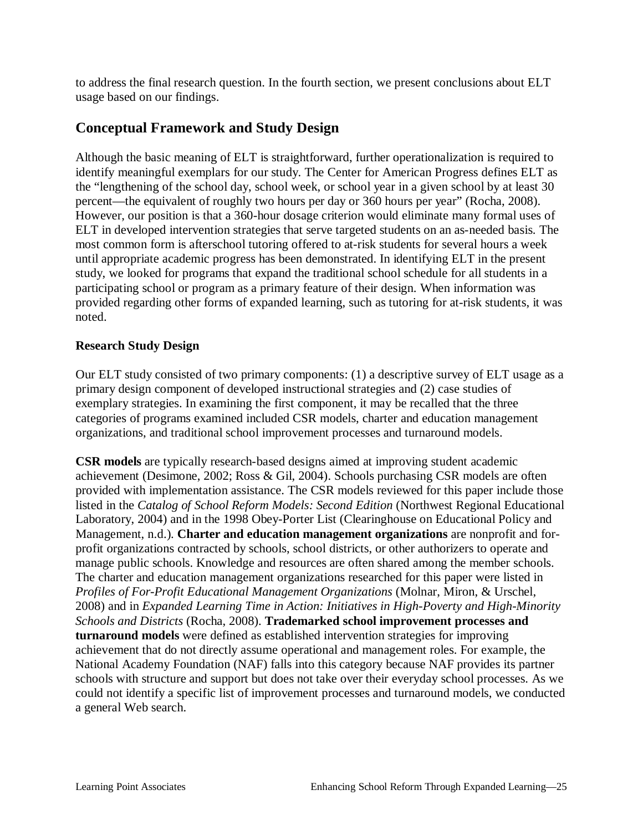to address the final research question. In the fourth section, we present conclusions about ELT usage based on our findings.

# **Conceptual Framework and Study Design**

Although the basic meaning of ELT is straightforward, further operationalization is required to identify meaningful exemplars for our study. The Center for American Progress defines ELT as the "lengthening of the school day, school week, or school year in a given school by at least 30 percent—the equivalent of roughly two hours per day or 360 hours per year" (Rocha, 2008). However, our position is that a 360-hour dosage criterion would eliminate many formal uses of ELT in developed intervention strategies that serve targeted students on an as-needed basis. The most common form is afterschool tutoring offered to at-risk students for several hours a week until appropriate academic progress has been demonstrated. In identifying ELT in the present study, we looked for programs that expand the traditional school schedule for all students in a participating school or program as a primary feature of their design. When information was provided regarding other forms of expanded learning, such as tutoring for at-risk students, it was noted.

### **Research Study Design**

Our ELT study consisted of two primary components: (1) a descriptive survey of ELT usage as a primary design component of developed instructional strategies and (2) case studies of exemplary strategies. In examining the first component, it may be recalled that the three categories of programs examined included CSR models, charter and education management organizations, and traditional school improvement processes and turnaround models.

**CSR models** are typically research-based designs aimed at improving student academic achievement (Desimone, 2002; Ross & Gil, 2004). Schools purchasing CSR models are often provided with implementation assistance. The CSR models reviewed for this paper include those listed in the *Catalog of School Reform Models: Second Edition* (Northwest Regional Educational Laboratory, 2004) and in the 1998 Obey-Porter List (Clearinghouse on Educational Policy and Management, n.d.). **Charter and education management organizations** are nonprofit and forprofit organizations contracted by schools, school districts, or other authorizers to operate and manage public schools. Knowledge and resources are often shared among the member schools. The charter and education management organizations researched for this paper were listed in *Profiles of For-Profit Educational Management Organizations* (Molnar, Miron, & Urschel, 2008) and in *Expanded Learning Time in Action: Initiatives in High-Poverty and High-Minority Schools and Districts* (Rocha, 2008). **Trademarked school improvement processes and turnaround models** were defined as established intervention strategies for improving achievement that do not directly assume operational and management roles. For example, the National Academy Foundation (NAF) falls into this category because NAF provides its partner schools with structure and support but does not take over their everyday school processes. As we could not identify a specific list of improvement processes and turnaround models, we conducted a general Web search.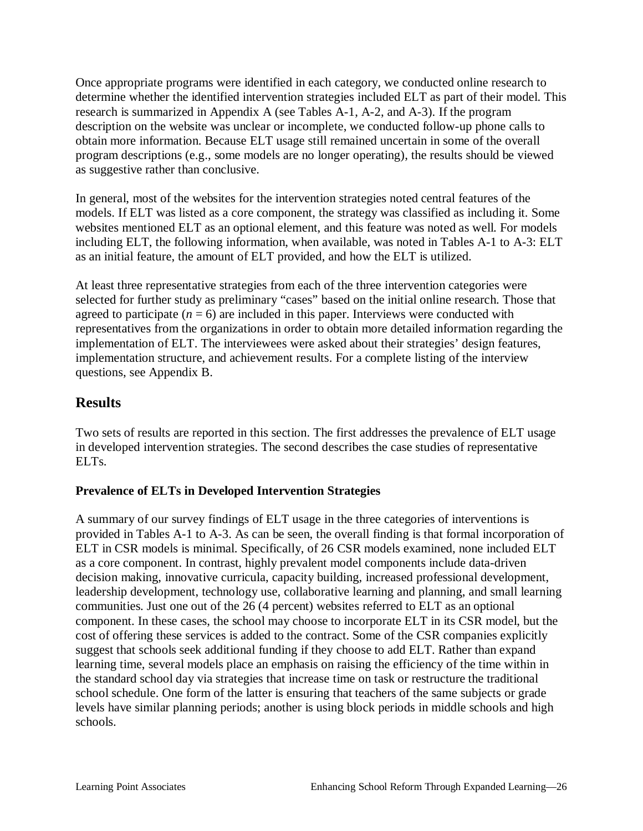Once appropriate programs were identified in each category, we conducted online research to determine whether the identified intervention strategies included ELT as part of their model. This research is summarized in Appendix A (see Tables A-1, A-2, and A-3). If the program description on the website was unclear or incomplete, we conducted follow-up phone calls to obtain more information. Because ELT usage still remained uncertain in some of the overall program descriptions (e.g., some models are no longer operating), the results should be viewed as suggestive rather than conclusive.

In general, most of the websites for the intervention strategies noted central features of the models. If ELT was listed as a core component, the strategy was classified as including it. Some websites mentioned ELT as an optional element, and this feature was noted as well. For models including ELT, the following information, when available, was noted in Tables A-1 to A-3: ELT as an initial feature, the amount of ELT provided, and how the ELT is utilized.

At least three representative strategies from each of the three intervention categories were selected for further study as preliminary "cases" based on the initial online research. Those that agreed to participate  $(n = 6)$  are included in this paper. Interviews were conducted with representatives from the organizations in order to obtain more detailed information regarding the implementation of ELT. The interviewees were asked about their strategies' design features, implementation structure, and achievement results. For a complete listing of the interview questions, see Appendix B.

# **Results**

Two sets of results are reported in this section. The first addresses the prevalence of ELT usage in developed intervention strategies. The second describes the case studies of representative ELTs.

### **Prevalence of ELTs in Developed Intervention Strategies**

A summary of our survey findings of ELT usage in the three categories of interventions is provided in Tables A-1 to A-3. As can be seen, the overall finding is that formal incorporation of ELT in CSR models is minimal. Specifically, of 26 CSR models examined, none included ELT as a core component. In contrast, highly prevalent model components include data-driven decision making, innovative curricula, capacity building, increased professional development, leadership development, technology use, collaborative learning and planning, and small learning communities. Just one out of the 26 (4 percent) websites referred to ELT as an optional component. In these cases, the school may choose to incorporate ELT in its CSR model, but the cost of offering these services is added to the contract. Some of the CSR companies explicitly suggest that schools seek additional funding if they choose to add ELT. Rather than expand learning time, several models place an emphasis on raising the efficiency of the time within in the standard school day via strategies that increase time on task or restructure the traditional school schedule. One form of the latter is ensuring that teachers of the same subjects or grade levels have similar planning periods; another is using block periods in middle schools and high schools.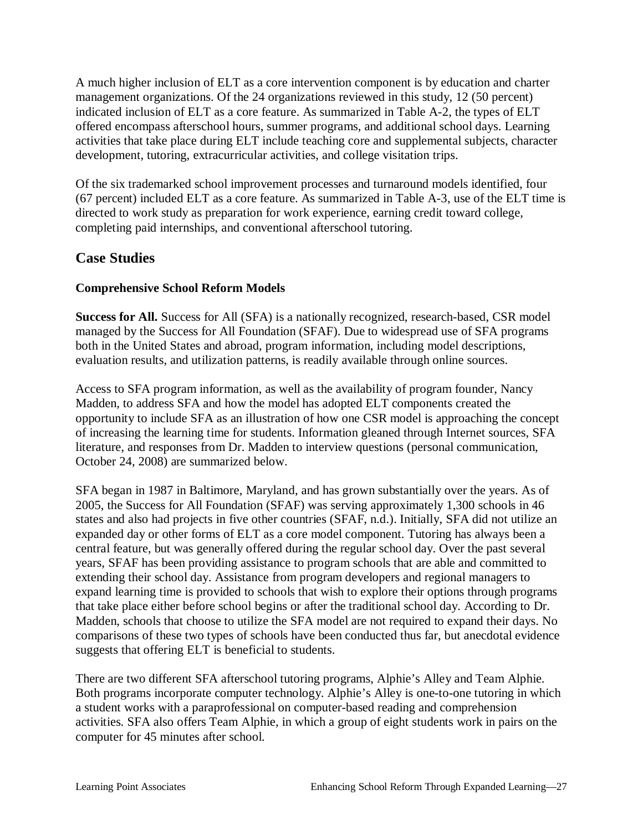A much higher inclusion of ELT as a core intervention component is by education and charter management organizations. Of the 24 organizations reviewed in this study, 12 (50 percent) indicated inclusion of ELT as a core feature. As summarized in Table A-2, the types of ELT offered encompass afterschool hours, summer programs, and additional school days. Learning activities that take place during ELT include teaching core and supplemental subjects, character development, tutoring, extracurricular activities, and college visitation trips.

Of the six trademarked school improvement processes and turnaround models identified, four (67 percent) included ELT as a core feature. As summarized in Table A-3, use of the ELT time is directed to work study as preparation for work experience, earning credit toward college, completing paid internships, and conventional afterschool tutoring.

# **Case Studies**

## **Comprehensive School Reform Models**

**Success for All.** Success for All (SFA) is a nationally recognized, research-based, CSR model managed by the Success for All Foundation (SFAF). Due to widespread use of SFA programs both in the United States and abroad, program information, including model descriptions, evaluation results, and utilization patterns, is readily available through online sources.

Access to SFA program information, as well as the availability of program founder, Nancy Madden, to address SFA and how the model has adopted ELT components created the opportunity to include SFA as an illustration of how one CSR model is approaching the concept of increasing the learning time for students. Information gleaned through Internet sources, SFA literature, and responses from Dr. Madden to interview questions (personal communication, October 24, 2008) are summarized below.

SFA began in 1987 in Baltimore, Maryland, and has grown substantially over the years. As of 2005, the Success for All Foundation (SFAF) was serving approximately 1,300 schools in 46 states and also had projects in five other countries (SFAF, n.d.). Initially, SFA did not utilize an expanded day or other forms of ELT as a core model component. Tutoring has always been a central feature, but was generally offered during the regular school day. Over the past several years, SFAF has been providing assistance to program schools that are able and committed to extending their school day. Assistance from program developers and regional managers to expand learning time is provided to schools that wish to explore their options through programs that take place either before school begins or after the traditional school day. According to Dr. Madden, schools that choose to utilize the SFA model are not required to expand their days. No comparisons of these two types of schools have been conducted thus far, but anecdotal evidence suggests that offering ELT is beneficial to students.

There are two different SFA afterschool tutoring programs, Alphie's Alley and Team Alphie. Both programs incorporate computer technology. Alphie's Alley is one-to-one tutoring in which a student works with a paraprofessional on computer-based reading and comprehension activities. SFA also offers Team Alphie, in which a group of eight students work in pairs on the computer for 45 minutes after school.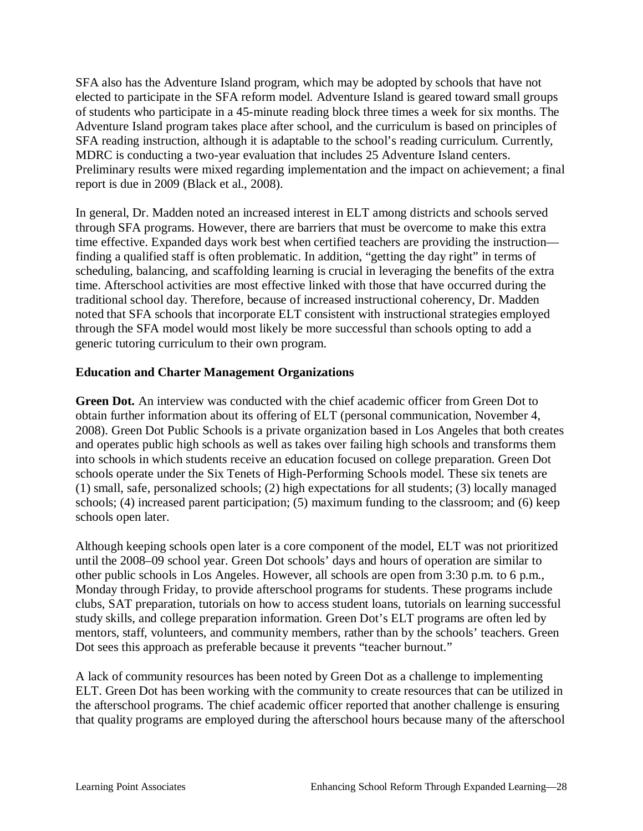SFA also has the Adventure Island program, which may be adopted by schools that have not elected to participate in the SFA reform model. Adventure Island is geared toward small groups of students who participate in a 45-minute reading block three times a week for six months. The Adventure Island program takes place after school, and the curriculum is based on principles of SFA reading instruction, although it is adaptable to the school's reading curriculum. Currently, MDRC is conducting a two-year evaluation that includes 25 Adventure Island centers. Preliminary results were mixed regarding implementation and the impact on achievement; a final report is due in 2009 (Black et al., 2008).

In general, Dr. Madden noted an increased interest in ELT among districts and schools served through SFA programs. However, there are barriers that must be overcome to make this extra time effective. Expanded days work best when certified teachers are providing the instruction finding a qualified staff is often problematic. In addition, "getting the day right" in terms of scheduling, balancing, and scaffolding learning is crucial in leveraging the benefits of the extra time. Afterschool activities are most effective linked with those that have occurred during the traditional school day. Therefore, because of increased instructional coherency, Dr. Madden noted that SFA schools that incorporate ELT consistent with instructional strategies employed through the SFA model would most likely be more successful than schools opting to add a generic tutoring curriculum to their own program.

### **Education and Charter Management Organizations**

**Green Dot.** An interview was conducted with the chief academic officer from Green Dot to obtain further information about its offering of ELT (personal communication, November 4, 2008). Green Dot Public Schools is a private organization based in Los Angeles that both creates and operates public high schools as well as takes over failing high schools and transforms them into schools in which students receive an education focused on college preparation. Green Dot schools operate under the Six Tenets of High-Performing Schools model. These six tenets are (1) small, safe, personalized schools; (2) high expectations for all students; (3) locally managed schools; (4) increased parent participation; (5) maximum funding to the classroom; and (6) keep schools open later.

Although keeping schools open later is a core component of the model, ELT was not prioritized until the 2008–09 school year. Green Dot schools' days and hours of operation are similar to other public schools in Los Angeles. However, all schools are open from 3:30 p.m. to 6 p.m., Monday through Friday, to provide afterschool programs for students. These programs include clubs, SAT preparation, tutorials on how to access student loans, tutorials on learning successful study skills, and college preparation information. Green Dot's ELT programs are often led by mentors, staff, volunteers, and community members, rather than by the schools' teachers. Green Dot sees this approach as preferable because it prevents "teacher burnout."

A lack of community resources has been noted by Green Dot as a challenge to implementing ELT. Green Dot has been working with the community to create resources that can be utilized in the afterschool programs. The chief academic officer reported that another challenge is ensuring that quality programs are employed during the afterschool hours because many of the afterschool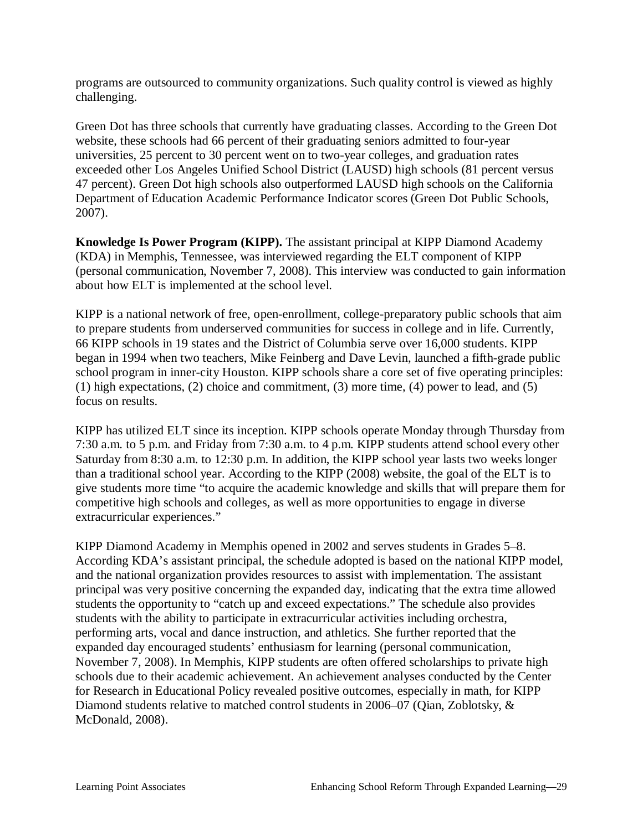programs are outsourced to community organizations. Such quality control is viewed as highly challenging.

Green Dot has three schools that currently have graduating classes. According to the Green Dot website, these schools had 66 percent of their graduating seniors admitted to four-year universities, 25 percent to 30 percent went on to two-year colleges, and graduation rates exceeded other Los Angeles Unified School District (LAUSD) high schools (81 percent versus 47 percent). Green Dot high schools also outperformed LAUSD high schools on the California Department of Education Academic Performance Indicator scores (Green Dot Public Schools, 2007).

**Knowledge Is Power Program (KIPP).** The assistant principal at KIPP Diamond Academy (KDA) in Memphis, Tennessee, was interviewed regarding the ELT component of KIPP (personal communication, November 7, 2008). This interview was conducted to gain information about how ELT is implemented at the school level.

KIPP is a national network of free, open-enrollment, college-preparatory public schools that aim to prepare students from underserved communities for success in college and in life. Currently, 66 KIPP schools in 19 states and the District of Columbia serve over 16,000 students. KIPP began in 1994 when two teachers, Mike Feinberg and Dave Levin, launched a fifth-grade public school program in inner-city Houston. KIPP schools share a core set of five operating principles: (1) high expectations, (2) choice and commitment, (3) more time, (4) power to lead, and (5) focus on results.

KIPP has utilized ELT since its inception. KIPP schools operate Monday through Thursday from 7:30 a.m. to 5 p.m. and Friday from 7:30 a.m. to 4 p.m. KIPP students attend school every other Saturday from 8:30 a.m. to 12:30 p.m. In addition, the KIPP school year lasts two weeks longer than a traditional school year. According to the KIPP (2008) website, the goal of the ELT is to give students more time "to acquire the academic knowledge and skills that will prepare them for competitive high schools and colleges, as well as more opportunities to engage in diverse extracurricular experiences."

KIPP Diamond Academy in Memphis opened in 2002 and serves students in Grades 5–8. According KDA's assistant principal, the schedule adopted is based on the national KIPP model, and the national organization provides resources to assist with implementation. The assistant principal was very positive concerning the expanded day, indicating that the extra time allowed students the opportunity to "catch up and exceed expectations." The schedule also provides students with the ability to participate in extracurricular activities including orchestra, performing arts, vocal and dance instruction, and athletics. She further reported that the expanded day encouraged students' enthusiasm for learning (personal communication, November 7, 2008). In Memphis, KIPP students are often offered scholarships to private high schools due to their academic achievement. An achievement analyses conducted by the Center for Research in Educational Policy revealed positive outcomes, especially in math, for KIPP Diamond students relative to matched control students in 2006–07 (Qian, Zoblotsky, & McDonald, 2008).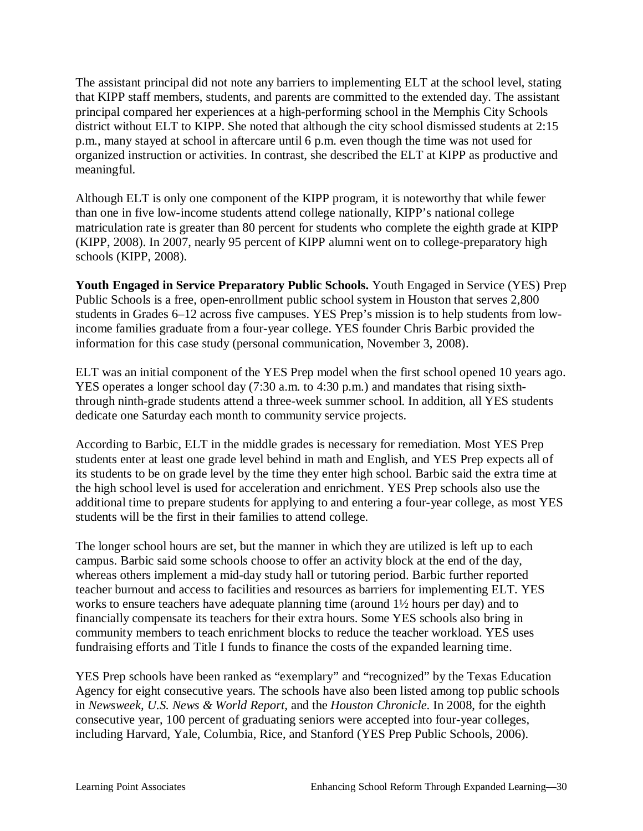The assistant principal did not note any barriers to implementing ELT at the school level, stating that KIPP staff members, students, and parents are committed to the extended day. The assistant principal compared her experiences at a high-performing school in the Memphis City Schools district without ELT to KIPP. She noted that although the city school dismissed students at 2:15 p.m., many stayed at school in aftercare until 6 p.m. even though the time was not used for organized instruction or activities. In contrast, she described the ELT at KIPP as productive and meaningful.

Although ELT is only one component of the KIPP program, it is noteworthy that while fewer than one in five low-income students attend college nationally, KIPP's national college matriculation rate is greater than 80 percent for students who complete the eighth grade at KIPP (KIPP, 2008). In 2007, nearly 95 percent of KIPP alumni went on to college-preparatory high schools (KIPP, 2008).

**Youth Engaged in Service Preparatory Public Schools.** Youth Engaged in Service (YES) Prep Public Schools is a free, open-enrollment public school system in Houston that serves 2,800 students in Grades 6–12 across five campuses. YES Prep's mission is to help students from lowincome families graduate from a four-year college. YES founder Chris Barbic provided the information for this case study (personal communication, November 3, 2008).

ELT was an initial component of the YES Prep model when the first school opened 10 years ago. YES operates a longer school day (7:30 a.m. to 4:30 p.m.) and mandates that rising sixththrough ninth-grade students attend a three-week summer school. In addition, all YES students dedicate one Saturday each month to community service projects.

According to Barbic, ELT in the middle grades is necessary for remediation. Most YES Prep students enter at least one grade level behind in math and English, and YES Prep expects all of its students to be on grade level by the time they enter high school. Barbic said the extra time at the high school level is used for acceleration and enrichment. YES Prep schools also use the additional time to prepare students for applying to and entering a four-year college, as most YES students will be the first in their families to attend college.

The longer school hours are set, but the manner in which they are utilized is left up to each campus. Barbic said some schools choose to offer an activity block at the end of the day, whereas others implement a mid-day study hall or tutoring period. Barbic further reported teacher burnout and access to facilities and resources as barriers for implementing ELT. YES works to ensure teachers have adequate planning time (around 1½ hours per day) and to financially compensate its teachers for their extra hours. Some YES schools also bring in community members to teach enrichment blocks to reduce the teacher workload. YES uses fundraising efforts and Title I funds to finance the costs of the expanded learning time.

YES Prep schools have been ranked as "exemplary" and "recognized" by the Texas Education Agency for eight consecutive years. The schools have also been listed among top public schools in *Newsweek, U.S. News & World Report,* and the *Houston Chronicle*. In 2008, for the eighth consecutive year, 100 percent of graduating seniors were accepted into four-year colleges, including Harvard, Yale, Columbia, Rice, and Stanford (YES Prep Public Schools, 2006).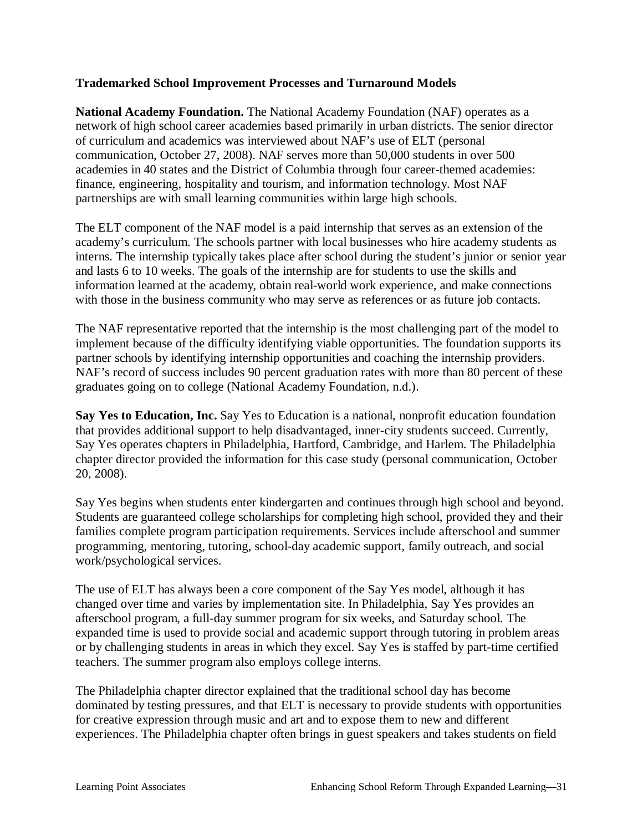### **Trademarked School Improvement Processes and Turnaround Models**

**National Academy Foundation.** The National Academy Foundation (NAF) operates as a network of high school career academies based primarily in urban districts. The senior director of curriculum and academics was interviewed about NAF's use of ELT (personal communication, October 27, 2008). NAF serves more than 50,000 students in over 500 academies in 40 states and the District of Columbia through four career-themed academies: finance, engineering, hospitality and tourism, and information technology. Most NAF partnerships are with small learning communities within large high schools.

The ELT component of the NAF model is a paid internship that serves as an extension of the academy's curriculum. The schools partner with local businesses who hire academy students as interns. The internship typically takes place after school during the student's junior or senior year and lasts 6 to 10 weeks. The goals of the internship are for students to use the skills and information learned at the academy, obtain real-world work experience, and make connections with those in the business community who may serve as references or as future job contacts.

The NAF representative reported that the internship is the most challenging part of the model to implement because of the difficulty identifying viable opportunities. The foundation supports its partner schools by identifying internship opportunities and coaching the internship providers. NAF's record of success includes 90 percent graduation rates with more than 80 percent of these graduates going on to college (National Academy Foundation, n.d.).

**Say Yes to Education, Inc.** Say Yes to Education is a national, nonprofit education foundation that provides additional support to help disadvantaged, inner-city students succeed. Currently, Say Yes operates chapters in Philadelphia, Hartford, Cambridge, and Harlem. The Philadelphia chapter director provided the information for this case study (personal communication, October 20, 2008).

Say Yes begins when students enter kindergarten and continues through high school and beyond. Students are guaranteed college scholarships for completing high school, provided they and their families complete program participation requirements. Services include afterschool and summer programming, mentoring, tutoring, school-day academic support, family outreach, and social work/psychological services.

The use of ELT has always been a core component of the Say Yes model, although it has changed over time and varies by implementation site. In Philadelphia, Say Yes provides an afterschool program, a full-day summer program for six weeks, and Saturday school. The expanded time is used to provide social and academic support through tutoring in problem areas or by challenging students in areas in which they excel. Say Yes is staffed by part-time certified teachers. The summer program also employs college interns.

The Philadelphia chapter director explained that the traditional school day has become dominated by testing pressures, and that ELT is necessary to provide students with opportunities for creative expression through music and art and to expose them to new and different experiences. The Philadelphia chapter often brings in guest speakers and takes students on field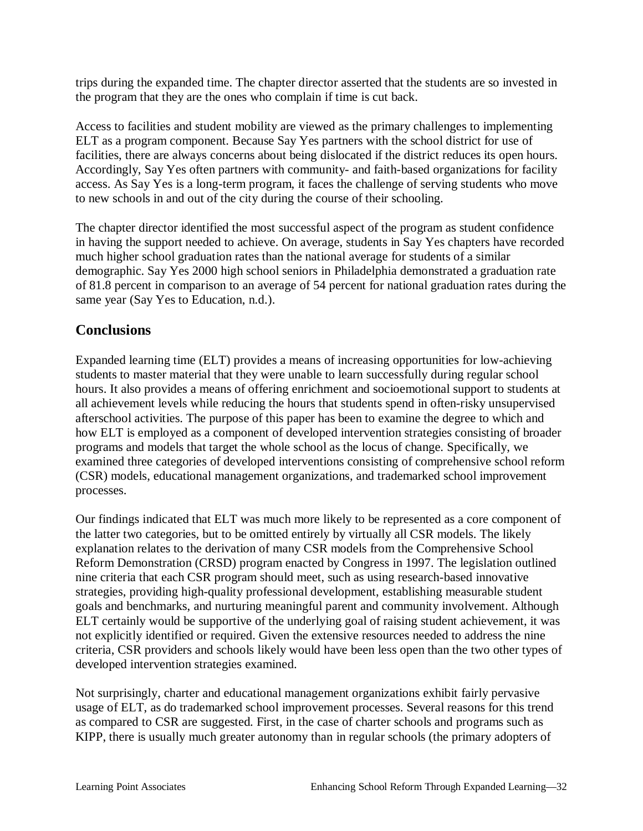trips during the expanded time. The chapter director asserted that the students are so invested in the program that they are the ones who complain if time is cut back.

Access to facilities and student mobility are viewed as the primary challenges to implementing ELT as a program component. Because Say Yes partners with the school district for use of facilities, there are always concerns about being dislocated if the district reduces its open hours. Accordingly, Say Yes often partners with community- and faith-based organizations for facility access. As Say Yes is a long-term program, it faces the challenge of serving students who move to new schools in and out of the city during the course of their schooling.

The chapter director identified the most successful aspect of the program as student confidence in having the support needed to achieve. On average, students in Say Yes chapters have recorded much higher school graduation rates than the national average for students of a similar demographic. Say Yes 2000 high school seniors in Philadelphia demonstrated a graduation rate of 81.8 percent in comparison to an average of 54 percent for national graduation rates during the same year (Say Yes to Education, n.d.).

# **Conclusions**

Expanded learning time (ELT) provides a means of increasing opportunities for low-achieving students to master material that they were unable to learn successfully during regular school hours. It also provides a means of offering enrichment and socioemotional support to students at all achievement levels while reducing the hours that students spend in often-risky unsupervised afterschool activities. The purpose of this paper has been to examine the degree to which and how ELT is employed as a component of developed intervention strategies consisting of broader programs and models that target the whole school as the locus of change. Specifically, we examined three categories of developed interventions consisting of comprehensive school reform (CSR) models, educational management organizations, and trademarked school improvement processes.

Our findings indicated that ELT was much more likely to be represented as a core component of the latter two categories, but to be omitted entirely by virtually all CSR models. The likely explanation relates to the derivation of many CSR models from the Comprehensive School Reform Demonstration (CRSD) program enacted by Congress in 1997. The legislation outlined nine criteria that each CSR program should meet, such as using research-based innovative strategies, providing high-quality professional development, establishing measurable student goals and benchmarks, and nurturing meaningful parent and community involvement. Although ELT certainly would be supportive of the underlying goal of raising student achievement, it was not explicitly identified or required. Given the extensive resources needed to address the nine criteria, CSR providers and schools likely would have been less open than the two other types of developed intervention strategies examined.

Not surprisingly, charter and educational management organizations exhibit fairly pervasive usage of ELT, as do trademarked school improvement processes. Several reasons for this trend as compared to CSR are suggested. First, in the case of charter schools and programs such as KIPP, there is usually much greater autonomy than in regular schools (the primary adopters of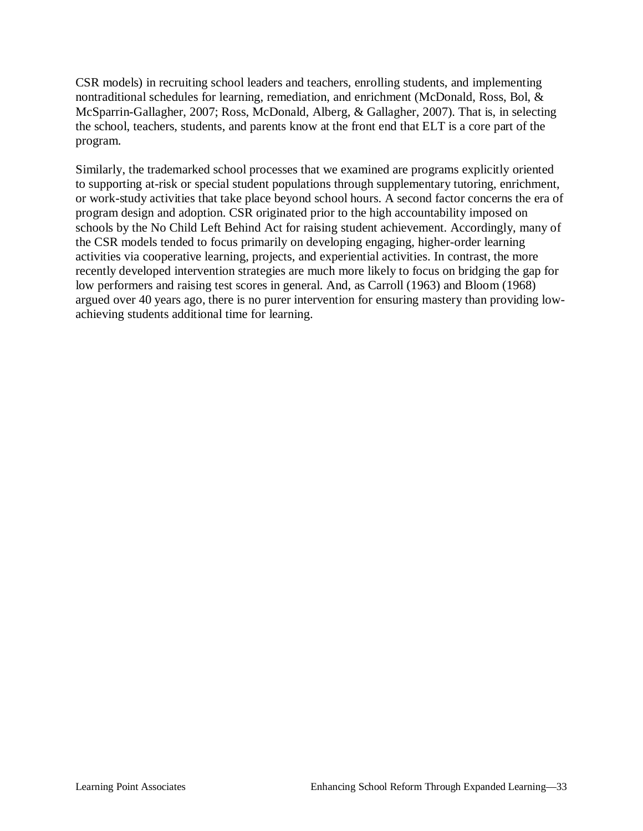CSR models) in recruiting school leaders and teachers, enrolling students, and implementing nontraditional schedules for learning, remediation, and enrichment (McDonald, Ross, Bol, & McSparrin-Gallagher, 2007; Ross, McDonald, Alberg, & Gallagher, 2007). That is, in selecting the school, teachers, students, and parents know at the front end that ELT is a core part of the program.

Similarly, the trademarked school processes that we examined are programs explicitly oriented to supporting at-risk or special student populations through supplementary tutoring, enrichment, or work-study activities that take place beyond school hours. A second factor concerns the era of program design and adoption. CSR originated prior to the high accountability imposed on schools by the No Child Left Behind Act for raising student achievement. Accordingly, many of the CSR models tended to focus primarily on developing engaging, higher-order learning activities via cooperative learning, projects, and experiential activities. In contrast, the more recently developed intervention strategies are much more likely to focus on bridging the gap for low performers and raising test scores in general. And, as Carroll (1963) and Bloom (1968) argued over 40 years ago, there is no purer intervention for ensuring mastery than providing lowachieving students additional time for learning.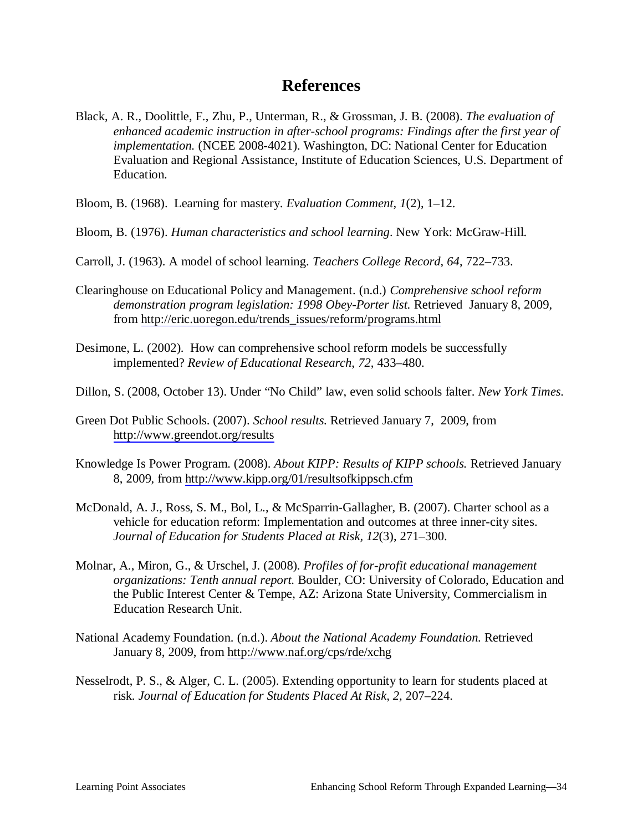# **References**

- Black, A. R., Doolittle, F., Zhu, P., Unterman, R., & Grossman, J. B. (2008). *The evaluation of enhanced academic instruction in after-school programs: Findings after the first year of implementation.* (NCEE 2008-4021). Washington, DC: National Center for Education Evaluation and Regional Assistance, Institute of Education Sciences, U.S. Department of Education.
- Bloom, B. (1968). Learning for mastery. *Evaluation Comment*, *1*(2), 1–12.
- Bloom, B. (1976). *Human characteristics and school learning*. New York: McGraw-Hill.
- Carroll, J. (1963). A model of school learning. *Teachers College Record*, *64*, 722–733.
- Clearinghouse on Educational Policy and Management. (n.d.) *Comprehensive school reform demonstration program legislation: 1998 Obey-Porter list.* Retrieved January 8, 2009, from [http://eric.uoregon.edu/trends\\_issues/reform/programs.html](http://eric.uoregon.edu/trends_issues/reform/programs.html)
- Desimone, L. (2002). How can comprehensive school reform models be successfully implemented? *Review of Educational Research*, *72*, 433–480.
- Dillon, S. (2008, October 13). Under "No Child" law, even solid schools falter. *New York Times*.
- Green Dot Public Schools. (2007). *School results.* Retrieved January 7, 2009, from <http://www.greendot.org/results>
- Knowledge Is Power Program. (2008). *About KIPP: Results of KIPP schools.* Retrieved January 8, 2009, from<http://www.kipp.org/01/resultsofkippsch.cfm>
- McDonald, A. J., Ross, S. M., Bol, L., & McSparrin-Gallagher, B. (2007). Charter school as a vehicle for education reform: Implementation and outcomes at three inner-city sites. *Journal of Education for Students Placed at Risk, 12*(3), 271–300.
- Molnar, A., Miron, G., & Urschel, J. (2008). *Profiles of for-profit educational management organizations: Tenth annual report.* Boulder, CO: University of Colorado, Education and the Public Interest Center & Tempe, AZ: Arizona State University, Commercialism in Education Research Unit.
- National Academy Foundation. (n.d.). *About the National Academy Foundation.* Retrieved January 8, 2009, from <http://www.naf.org/cps/rde/xchg>
- Nesselrodt, P. S., & Alger, C. L. (2005). Extending opportunity to learn for students placed at risk*. Journal of Education for Students Placed At Risk, 2,* 207–224.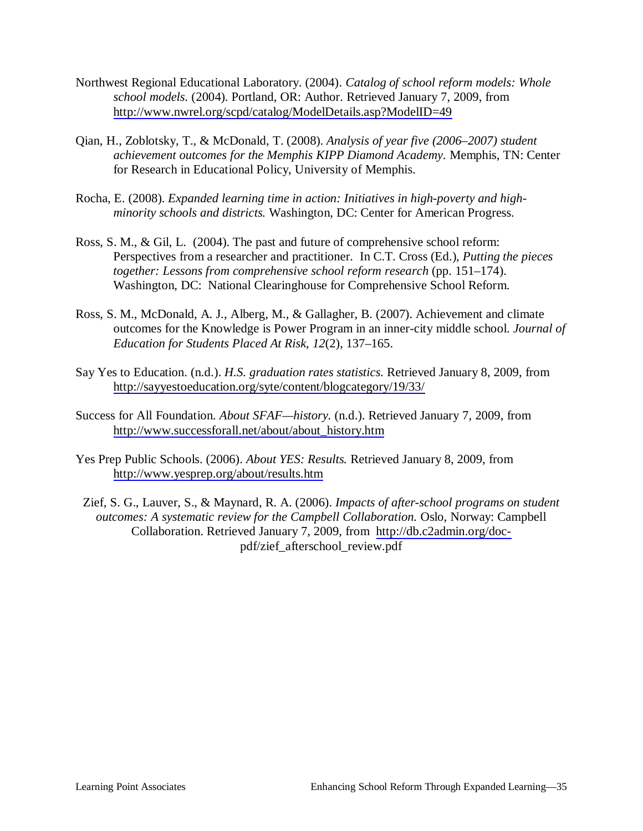- Northwest Regional Educational Laboratory. (2004). *Catalog of school reform models: Whole school models.* (2004). Portland, OR: Author. Retrieved January 7, 2009, from <http://www.nwrel.org/scpd/catalog/ModelDetails.asp?ModelID=49>
- Qian, H., Zoblotsky, T., & McDonald, T. (2008). *Analysis of year five (2006–2007) student achievement outcomes for the Memphis KIPP Diamond Academy.* Memphis, TN: Center for Research in Educational Policy, University of Memphis.
- Rocha, E. (2008). *Expanded learning time in action: Initiatives in high-poverty and highminority schools and districts.* Washington, DC: Center for American Progress.
- Ross, S. M., & Gil, L. (2004). The past and future of comprehensive school reform: Perspectives from a researcher and practitioner. In C.T. Cross (Ed.), *Putting the pieces together: Lessons from comprehensive school reform research (pp. 151–174).* Washington, DC: National Clearinghouse for Comprehensive School Reform.
- Ross, S. M., McDonald, A. J., Alberg, M., & Gallagher, B. (2007). Achievement and climate outcomes for the Knowledge is Power Program in an inner-city middle school. *Journal of Education for Students Placed At Risk*, *12*(2), 137–165.
- Say Yes to Education. (n.d.). *H.S. graduation rates statistics.* Retrieved January 8, 2009, from <http://sayyestoeducation.org/syte/content/blogcategory/19/33/>
- Success for All Foundation. *About SFAF—history.* (n.d.). Retrieved January 7, 2009, from [http://www.successforall.net/about/about\\_history.htm](http://www.successforall.net/about/about_history.htm)
- Yes Prep Public Schools. (2006). *About YES: Results.* Retrieved January 8, 2009, from <http://www.yesprep.org/about/results.htm>
- Zief, S. G., Lauver, S., & Maynard, R. A. (2006). *Impacts of after-school programs on student outcomes: A systematic review for the Campbell Collaboration.* Oslo, Norway: Campbell Collaboration. Retrieved January 7, 2009, from [http://db.c2admin.org/doc](http://db.c2admin.org/doc-)pdf/zief\_afterschool\_review.pdf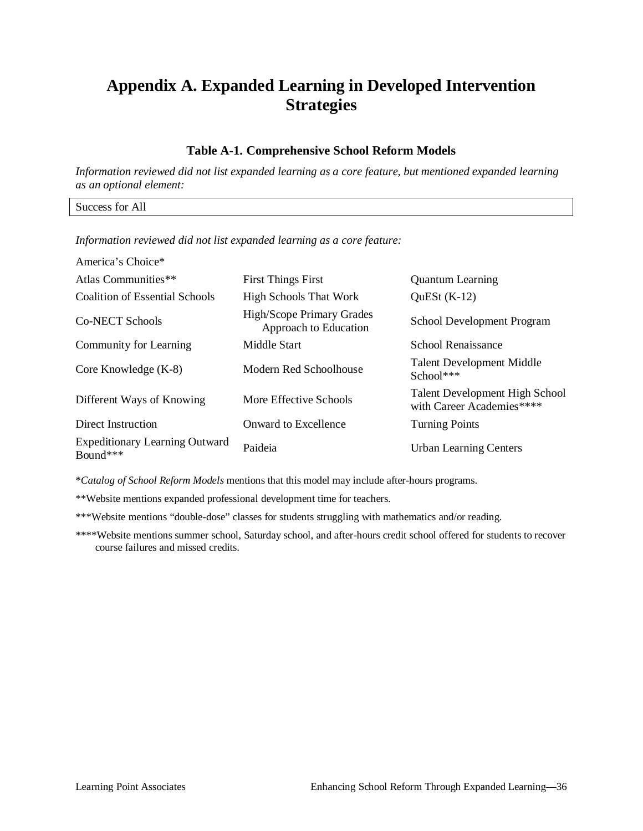# **Appendix A. Expanded Learning in Developed Intervention Strategies**

#### **Table A-1. Comprehensive School Reform Models**

*Information reviewed did not list expanded learning as a core feature, but mentioned expanded learning as an optional element:* 

Success for All

*Information reviewed did not list expanded learning as a core feature:* 

| America's Choice*                                 |                                                    |                                                                    |  |
|---------------------------------------------------|----------------------------------------------------|--------------------------------------------------------------------|--|
| Atlas Communities**                               | <b>First Things First</b>                          | <b>Quantum Learning</b>                                            |  |
| Coalition of Essential Schools                    | <b>High Schools That Work</b>                      | QuESt $(K-12)$                                                     |  |
| Co-NECT Schools                                   | High/Scope Primary Grades<br>Approach to Education | School Development Program                                         |  |
| Community for Learning                            | Middle Start                                       | School Renaissance                                                 |  |
| Core Knowledge (K-8)                              | Modern Red Schoolhouse                             | <b>Talent Development Middle</b><br>School***                      |  |
| Different Ways of Knowing                         | More Effective Schools                             | <b>Talent Development High School</b><br>with Career Academies**** |  |
| Direct Instruction                                | Onward to Excellence                               | <b>Turning Points</b>                                              |  |
| <b>Expeditionary Learning Outward</b><br>Bound*** | Paideia                                            | <b>Urban Learning Centers</b>                                      |  |

\**Catalog of School Reform Models* mentions that this model may include after-hours programs.

\*\*Website mentions expanded professional development time for teachers.

\*\*\*Website mentions "double-dose" classes for students struggling with mathematics and/or reading.

\*\*\*\*Website mentions summer school, Saturday school, and after-hours credit school offered for students to recover course failures and missed credits.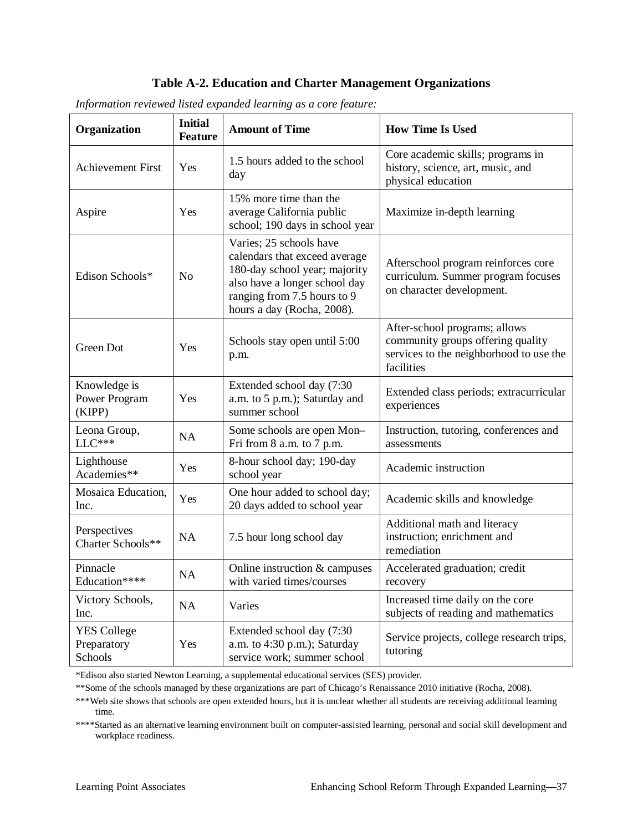### **Table A-2. Education and Charter Management Organizations**

| Organization                                 | <b>Initial</b><br><b>Feature</b> | <b>Amount of Time</b>                                                                                                                                                                   | <b>How Time Is Used</b>                                                                                                     |
|----------------------------------------------|----------------------------------|-----------------------------------------------------------------------------------------------------------------------------------------------------------------------------------------|-----------------------------------------------------------------------------------------------------------------------------|
| <b>Achievement First</b>                     | Yes                              | 1.5 hours added to the school<br>day                                                                                                                                                    | Core academic skills; programs in<br>history, science, art, music, and<br>physical education                                |
| Aspire                                       | Yes                              | 15% more time than the<br>average California public<br>school; 190 days in school year                                                                                                  | Maximize in-depth learning                                                                                                  |
| Edison Schools*                              | N <sub>o</sub>                   | Varies; 25 schools have<br>calendars that exceed average<br>180-day school year; majority<br>also have a longer school day<br>ranging from 7.5 hours to 9<br>hours a day (Rocha, 2008). | Afterschool program reinforces core<br>curriculum. Summer program focuses<br>on character development.                      |
| Green Dot                                    | Yes                              | Schools stay open until 5:00<br>p.m.                                                                                                                                                    | After-school programs; allows<br>community groups offering quality<br>services to the neighborhood to use the<br>facilities |
| Knowledge is<br>Power Program<br>(KIPP)      | Yes                              | Extended school day (7:30<br>a.m. to 5 p.m.); Saturday and<br>summer school                                                                                                             | Extended class periods; extracurricular<br>experiences                                                                      |
| Leona Group,<br>$LLC***$                     | <b>NA</b>                        | Some schools are open Mon-<br>Fri from 8 a.m. to 7 p.m.                                                                                                                                 | Instruction, tutoring, conferences and<br>assessments                                                                       |
| Lighthouse<br>Academies**                    | Yes                              | 8-hour school day; 190-day<br>school year                                                                                                                                               | Academic instruction                                                                                                        |
| Mosaica Education,<br>Inc.                   | Yes                              | One hour added to school day;<br>20 days added to school year                                                                                                                           | Academic skills and knowledge                                                                                               |
| Perspectives<br>Charter Schools**            | <b>NA</b>                        | 7.5 hour long school day                                                                                                                                                                | Additional math and literacy<br>instruction; enrichment and<br>remediation                                                  |
| Pinnacle<br>Education****                    | <b>NA</b>                        | Online instruction & campuses<br>with varied times/courses                                                                                                                              | Accelerated graduation; credit<br>recovery                                                                                  |
| Victory Schools,<br>Inc.                     | NA                               | Varies                                                                                                                                                                                  | Increased time daily on the core<br>subjects of reading and mathematics                                                     |
| <b>YES College</b><br>Preparatory<br>Schools | Yes                              | Extended school day (7:30<br>a.m. to $4:30$ p.m.); Saturday<br>service work; summer school                                                                                              | Service projects, college research trips,<br>tutoring                                                                       |

*Information reviewed listed expanded learning as a core feature:* 

\*Edison also started Newton Learning, a supplemental educational services (SES) provider.

\*\*Some of the schools managed by these organizations are part of Chicago's Renaissance 2010 initiative (Rocha, 2008).

\*\*\*Web site shows that schools are open extended hours, but it is unclear whether all students are receiving additional learning time.

\*\*\*\*Started as an alternative learning environment built on computer-assisted learning, personal and social skill development and workplace readiness.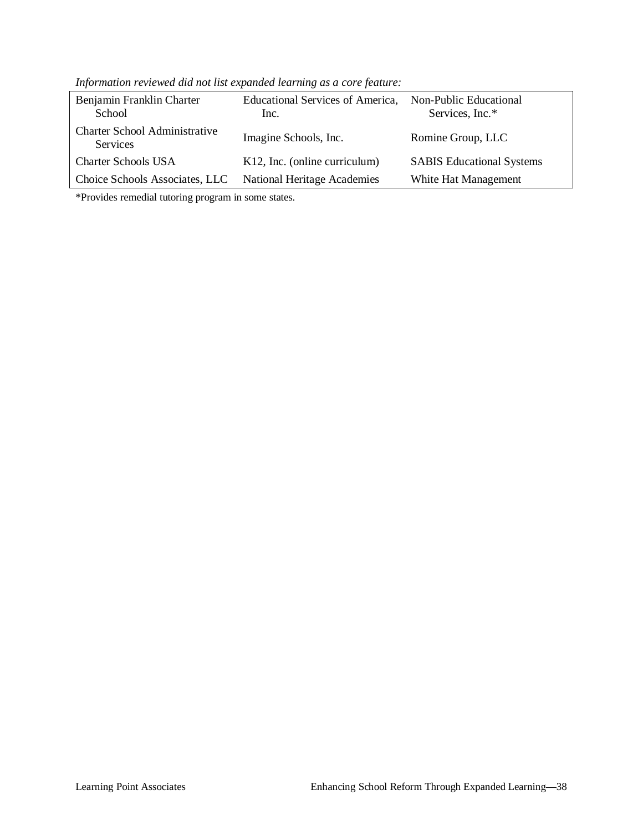| Benjamin Franklin Charter<br>School                     | Educational Services of America,<br>Inc. | Non-Public Educational<br>Services, Inc.* |
|---------------------------------------------------------|------------------------------------------|-------------------------------------------|
| <b>Charter School Administrative</b><br><b>Services</b> | Imagine Schools, Inc.                    | Romine Group, LLC                         |
| <b>Charter Schools USA</b>                              | K12, Inc. (online curriculum)            | <b>SABIS</b> Educational Systems          |
| Choice Schools Associates, LLC                          | <b>National Heritage Academies</b>       | White Hat Management                      |

*Information reviewed did not list expanded learning as a core feature:* 

\*Provides remedial tutoring program in some states.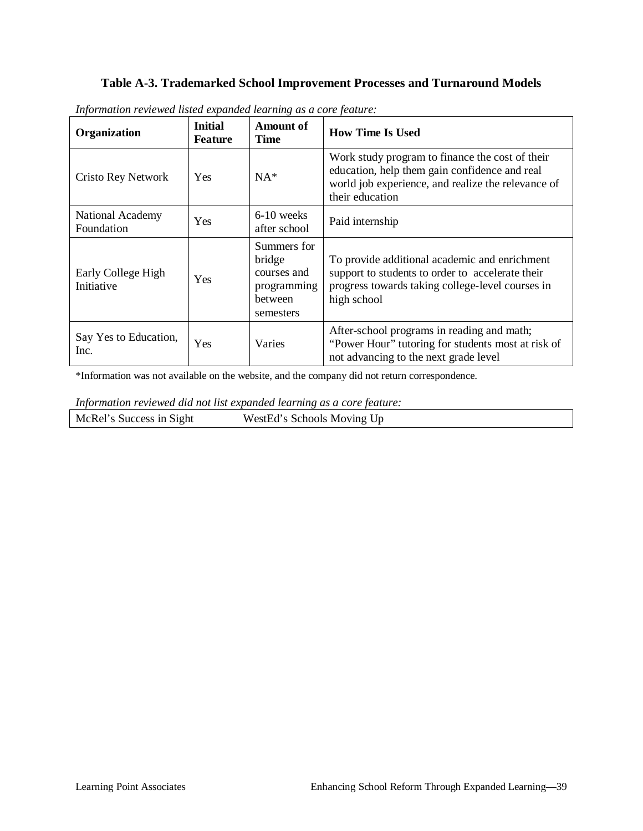### **Table A-3. Trademarked School Improvement Processes and Turnaround Models**

| Organization                     | <b>Initial</b><br>Feature | Amount of<br><b>Time</b>                                                           | <b>How Time Is Used</b>                                                                                                                                                   |
|----------------------------------|---------------------------|------------------------------------------------------------------------------------|---------------------------------------------------------------------------------------------------------------------------------------------------------------------------|
| <b>Cristo Rey Network</b>        | <b>Yes</b>                | $NA*$                                                                              | Work study program to finance the cost of their<br>education, help them gain confidence and real<br>world job experience, and realize the relevance of<br>their education |
| National Academy<br>Foundation   | Yes                       | $6-10$ weeks<br>after school                                                       | Paid internship                                                                                                                                                           |
| Early College High<br>Initiative | <b>Yes</b>                | Summers for<br>bridge<br>courses and<br>programming<br><b>between</b><br>semesters | To provide additional academic and enrichment<br>support to students to order to accelerate their<br>progress towards taking college-level courses in<br>high school      |
| Say Yes to Education,<br>Inc.    | Yes                       | Varies                                                                             | After-school programs in reading and math;<br>"Power Hour" tutoring for students most at risk of<br>not advancing to the next grade level                                 |

*Information reviewed listed expanded learning as a core feature:* 

\*Information was not available on the website, and the company did not return correspondence.

*Information reviewed did not list expanded learning as a core feature:* 

McRel's Success in Sight WestEd's Schools Moving Up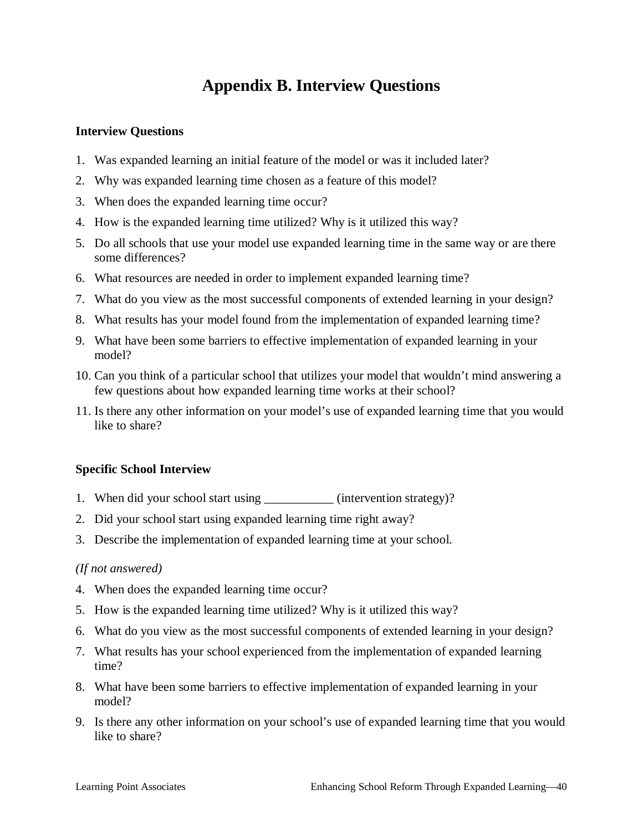# **Appendix B. Interview Questions**

#### **Interview Questions**

- 1. Was expanded learning an initial feature of the model or was it included later?
- 2. Why was expanded learning time chosen as a feature of this model?
- 3. When does the expanded learning time occur?
- 4. How is the expanded learning time utilized? Why is it utilized this way?
- 5. Do all schools that use your model use expanded learning time in the same way or are there some differences?
- 6. What resources are needed in order to implement expanded learning time?
- 7. What do you view as the most successful components of extended learning in your design?
- 8. What results has your model found from the implementation of expanded learning time?
- 9. What have been some barriers to effective implementation of expanded learning in your model?
- 10. Can you think of a particular school that utilizes your model that wouldn't mind answering a few questions about how expanded learning time works at their school?
- 11. Is there any other information on your model's use of expanded learning time that you would like to share?

#### **Specific School Interview**

- 1. When did your school start using (intervention strategy)?
- 2. Did your school start using expanded learning time right away?
- 3. Describe the implementation of expanded learning time at your school.

#### *(If not answered)*

- 4. When does the expanded learning time occur?
- 5. How is the expanded learning time utilized? Why is it utilized this way?
- 6. What do you view as the most successful components of extended learning in your design?
- 7. What results has your school experienced from the implementation of expanded learning time?
- 8. What have been some barriers to effective implementation of expanded learning in your model?
- 9. Is there any other information on your school's use of expanded learning time that you would like to share?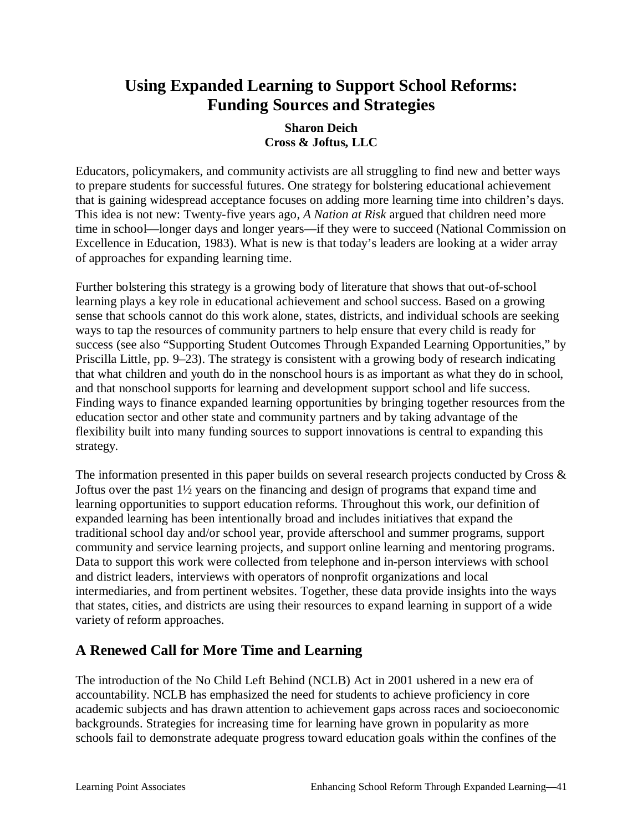# **Using Expanded Learning to Support School Reforms: Funding Sources and Strategies**

### **Sharon Deich Cross & Joftus, LLC**

Educators, policymakers, and community activists are all struggling to find new and better ways to prepare students for successful futures. One strategy for bolstering educational achievement that is gaining widespread acceptance focuses on adding more learning time into children's days. This idea is not new: Twenty-five years ago, *A Nation at Risk* argued that children need more time in school—longer days and longer years—if they were to succeed (National Commission on Excellence in Education, 1983). What is new is that today's leaders are looking at a wider array of approaches for expanding learning time.

Further bolstering this strategy is a growing body of literature that shows that out-of-school learning plays a key role in educational achievement and school success. Based on a growing sense that schools cannot do this work alone, states, districts, and individual schools are seeking ways to tap the resources of community partners to help ensure that every child is ready for success (see also "Supporting Student Outcomes Through Expanded Learning Opportunities," by Priscilla Little, pp. 9–23). The strategy is consistent with a growing body of research indicating that what children and youth do in the nonschool hours is as important as what they do in school, and that nonschool supports for learning and development support school and life success. Finding ways to finance expanded learning opportunities by bringing together resources from the education sector and other state and community partners and by taking advantage of the flexibility built into many funding sources to support innovations is central to expanding this strategy.

The information presented in this paper builds on several research projects conducted by Cross  $\&$ Joftus over the past 1½ years on the financing and design of programs that expand time and learning opportunities to support education reforms. Throughout this work, our definition of expanded learning has been intentionally broad and includes initiatives that expand the traditional school day and/or school year, provide afterschool and summer programs, support community and service learning projects, and support online learning and mentoring programs. Data to support this work were collected from telephone and in-person interviews with school and district leaders, interviews with operators of nonprofit organizations and local intermediaries, and from pertinent websites. Together, these data provide insights into the ways that states, cities, and districts are using their resources to expand learning in support of a wide variety of reform approaches.

# **A Renewed Call for More Time and Learning**

The introduction of the No Child Left Behind (NCLB) Act in 2001 ushered in a new era of accountability. NCLB has emphasized the need for students to achieve proficiency in core academic subjects and has drawn attention to achievement gaps across races and socioeconomic backgrounds. Strategies for increasing time for learning have grown in popularity as more schools fail to demonstrate adequate progress toward education goals within the confines of the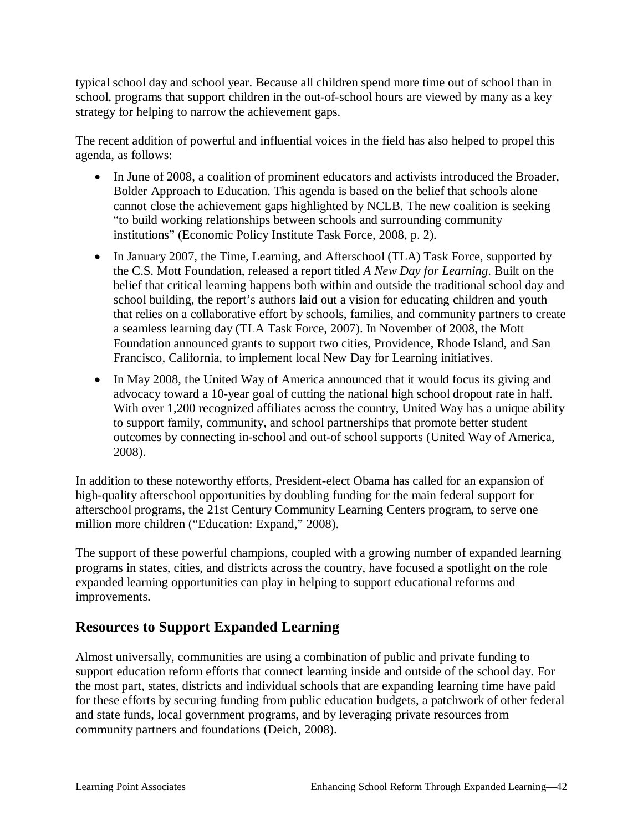typical school day and school year. Because all children spend more time out of school than in school, programs that support children in the out-of-school hours are viewed by many as a key strategy for helping to narrow the achievement gaps.

The recent addition of powerful and influential voices in the field has also helped to propel this agenda, as follows:

- In June of 2008, a coalition of prominent educators and activists introduced the Broader, Bolder Approach to Education. This agenda is based on the belief that schools alone cannot close the achievement gaps highlighted by NCLB. The new coalition is seeking "to build working relationships between schools and surrounding community institutions" (Economic Policy Institute Task Force, 2008, p. 2).
- In January 2007, the Time, Learning, and Afterschool (TLA) Task Force, supported by the C.S. Mott Foundation, released a report titled *A New Day for Learning*. Built on the belief that critical learning happens both within and outside the traditional school day and school building, the report's authors laid out a vision for educating children and youth that relies on a collaborative effort by schools, families, and community partners to create a seamless learning day (TLA Task Force, 2007). In November of 2008, the Mott Foundation announced grants to support two cities, Providence, Rhode Island, and San Francisco, California, to implement local New Day for Learning initiatives.
- In May 2008, the United Way of America announced that it would focus its giving and advocacy toward a 10-year goal of cutting the national high school dropout rate in half. With over 1,200 recognized affiliates across the country, United Way has a unique ability to support family, community, and school partnerships that promote better student outcomes by connecting in-school and out-of school supports (United Way of America, 2008).

In addition to these noteworthy efforts, President-elect Obama has called for an expansion of high-quality afterschool opportunities by doubling funding for the main federal support for afterschool programs, the 21st Century Community Learning Centers program, to serve one million more children ("Education: Expand," 2008).

The support of these powerful champions, coupled with a growing number of expanded learning programs in states, cities, and districts across the country, have focused a spotlight on the role expanded learning opportunities can play in helping to support educational reforms and improvements.

# **Resources to Support Expanded Learning**

Almost universally, communities are using a combination of public and private funding to support education reform efforts that connect learning inside and outside of the school day. For the most part, states, districts and individual schools that are expanding learning time have paid for these efforts by securing funding from public education budgets, a patchwork of other federal and state funds, local government programs, and by leveraging private resources from community partners and foundations (Deich, 2008).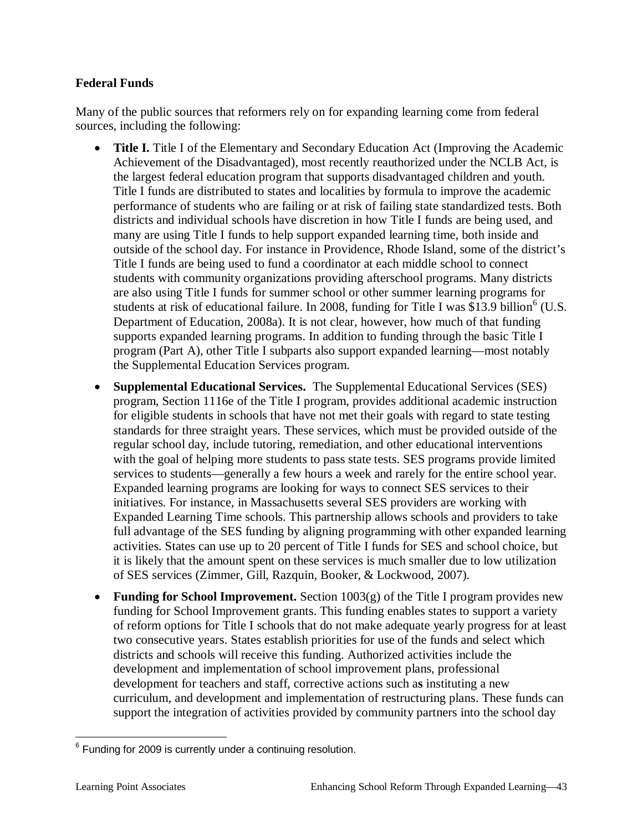### **Federal Funds**

Many of the public sources that reformers rely on for expanding learning come from federal sources, including the following:

- **Title I.** Title I of the Elementary and Secondary Education Act (Improving the Academic Achievement of the Disadvantaged), most recently reauthorized under the NCLB Act, is the largest federal education program that supports disadvantaged children and youth. Title I funds are distributed to states and localities by formula to improve the academic performance of students who are failing or at risk of failing state standardized tests. Both districts and individual schools have discretion in how Title I funds are being used, and many are using Title I funds to help support expanded learning time, both inside and outside of the school day. For instance in Providence, Rhode Island, some of the district's Title I funds are being used to fund a coordinator at each middle school to connect students with community organizations providing afterschool programs. Many districts are also using Title I funds for summer school or other summer learning programs for students at risk of educational failure. In 2008, funding for Title I was \$13.9 billion<sup>6</sup> (U.S. Department of Education, 2008a). It is not clear, however, how much of that funding supports expanded learning programs. In addition to funding through the basic Title I program (Part A), other Title I subparts also support expanded learning—most notably the Supplemental Education Services program.
- x **Supplemental Educational Services.** The Supplemental Educational Services (SES) program, Section 1116e of the Title I program, provides additional academic instruction for eligible students in schools that have not met their goals with regard to state testing standards for three straight years. These services, which must be provided outside of the regular school day, include tutoring, remediation, and other educational interventions with the goal of helping more students to pass state tests. SES programs provide limited services to students—generally a few hours a week and rarely for the entire school year. Expanded learning programs are looking for ways to connect SES services to their initiatives. For instance, in Massachusetts several SES providers are working with Expanded Learning Time schools. This partnership allows schools and providers to take full advantage of the SES funding by aligning programming with other expanded learning activities. States can use up to 20 percent of Title I funds for SES and school choice, but it is likely that the amount spent on these services is much smaller due to low utilization of SES services (Zimmer, Gill, Razquin, Booker, & Lockwood, 2007).
- **Funding for School Improvement.** Section 1003(g) of the Title I program provides new funding for School Improvement grants. This funding enables states to support a variety of reform options for Title I schools that do not make adequate yearly progress for at least two consecutive years. States establish priorities for use of the funds and select which districts and schools will receive this funding. Authorized activities include the development and implementation of school improvement plans, professional development for teachers and staff, corrective actions such a**s** instituting a new curriculum, and development and implementation of restructuring plans. These funds can support the integration of activities provided by community partners into the school day

 $6$  Funding for 2009 is currently under a continuing resolution.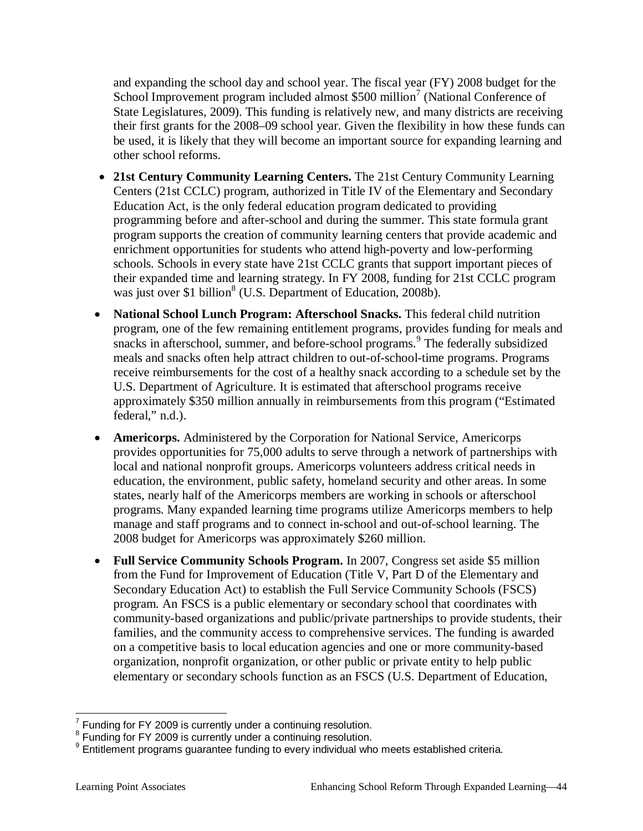and expanding the school day and school year. The fiscal year (FY) 2008 budget for the School Improvement program included almost \$500 million<sup>7</sup> (National Conference of State Legislatures, 2009). This funding is relatively new, and many districts are receiving their first grants for the 2008–09 school year. Given the flexibility in how these funds can be used, it is likely that they will become an important source for expanding learning and other school reforms.

- x **21st Century Community Learning Centers.** The 21st Century Community Learning Centers (21st CCLC) program, authorized in Title IV of the Elementary and Secondary Education Act, is the only federal education program dedicated to providing programming before and after-school and during the summer. This state formula grant program supports the creation of community learning centers that provide academic and enrichment opportunities for students who attend high-poverty and low-performing schools. Schools in every state have 21st CCLC grants that support important pieces of their expanded time and learning strategy. In FY 2008, funding for 21st CCLC program was just over \$1 billion<sup>8</sup> (U.S. Department of Education, 2008b).
- National School Lunch Program: Afterschool Snacks. This federal child nutrition program, one of the few remaining entitlement programs, provides funding for meals and snacks in afterschool, summer, and before-school programs.<sup>9</sup> The federally subsidized meals and snacks often help attract children to out-of-school-time programs. Programs receive reimbursements for the cost of a healthy snack according to a schedule set by the U.S. Department of Agriculture. It is estimated that afterschool programs receive approximately \$350 million annually in reimbursements from this program ("Estimated federal," n.d.).
- **Americorps.** Administered by the Corporation for National Service, Americorps provides opportunities for 75,000 adults to serve through a network of partnerships with local and national nonprofit groups. Americorps volunteers address critical needs in education, the environment, public safety, homeland security and other areas. In some states, nearly half of the Americorps members are working in schools or afterschool programs. Many expanded learning time programs utilize Americorps members to help manage and staff programs and to connect in-school and out-of-school learning. The 2008 budget for Americorps was approximately \$260 million.
- Full Service Community Schools Program. In 2007, Congress set aside \$5 million from the Fund for Improvement of Education (Title V, Part D of the Elementary and Secondary Education Act) to establish the Full Service Community Schools (FSCS) program. An FSCS is a public elementary or secondary school that coordinates with community-based organizations and public/private partnerships to provide students, their families, and the community access to comprehensive services. The funding is awarded on a competitive basis to local education agencies and one or more community-based organization, nonprofit organization, or other public or private entity to help public elementary or secondary schools function as an FSCS (U.S. Department of Education,

 $^7$  Funding for FY 2009 is currently under a continuing resolution.<br><sup>8</sup> Funding for FY 2009 is currently under a continuing resolution.

<sup>&</sup>lt;sup>9</sup> Entitlement programs guarantee funding to every individual who meets established criteria.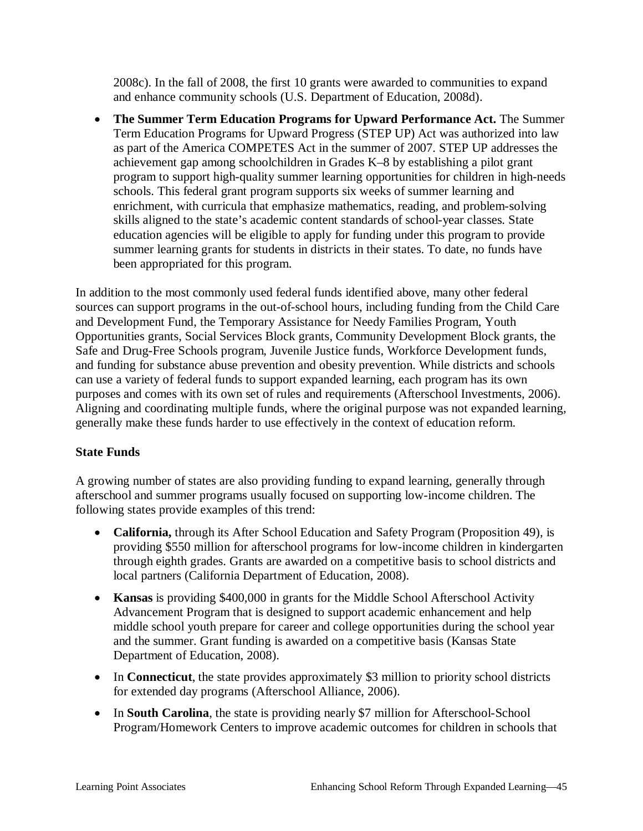2008c). In the fall of 2008, the first 10 grants were awarded to communities to expand and enhance community schools (U.S. Department of Education, 2008d).

• The Summer Term Education Programs for Upward Performance Act. The Summer Term Education Programs for Upward Progress (STEP UP) Act was authorized into law as part of the America COMPETES Act in the summer of 2007. STEP UP addresses the achievement gap among schoolchildren in Grades K–8 by establishing a pilot grant program to support high-quality summer learning opportunities for children in high-needs schools. This federal grant program supports six weeks of summer learning and enrichment, with curricula that emphasize mathematics, reading, and problem-solving skills aligned to the state's academic content standards of school-year classes. State education agencies will be eligible to apply for funding under this program to provide summer learning grants for students in districts in their states. To date, no funds have been appropriated for this program.

In addition to the most commonly used federal funds identified above, many other federal sources can support programs in the out-of-school hours, including funding from the Child Care and Development Fund, the Temporary Assistance for Needy Families Program, Youth Opportunities grants, Social Services Block grants, Community Development Block grants, the Safe and Drug-Free Schools program, Juvenile Justice funds, Workforce Development funds, and funding for substance abuse prevention and obesity prevention. While districts and schools can use a variety of federal funds to support expanded learning, each program has its own purposes and comes with its own set of rules and requirements (Afterschool Investments, 2006). Aligning and coordinating multiple funds, where the original purpose was not expanded learning, generally make these funds harder to use effectively in the context of education reform.

### **State Funds**

A growing number of states are also providing funding to expand learning, generally through afterschool and summer programs usually focused on supporting low-income children. The following states provide examples of this trend:

- **California,** through its After School Education and Safety Program (Proposition 49), is providing \$550 million for afterschool programs for low-income children in kindergarten through eighth grades. Grants are awarded on a competitive basis to school districts and local partners (California Department of Education, 2008).
- **Kansas** is providing \$400,000 in grants for the Middle School Afterschool Activity Advancement Program that is designed to support academic enhancement and help middle school youth prepare for career and college opportunities during the school year and the summer. Grant funding is awarded on a competitive basis (Kansas State Department of Education, 2008).
- In **Connecticut**, the state provides approximately \$3 million to priority school districts for extended day programs (Afterschool Alliance, 2006).
- In **South Carolina**, the state is providing nearly \$7 million for Afterschool-School Program/Homework Centers to improve academic outcomes for children in schools that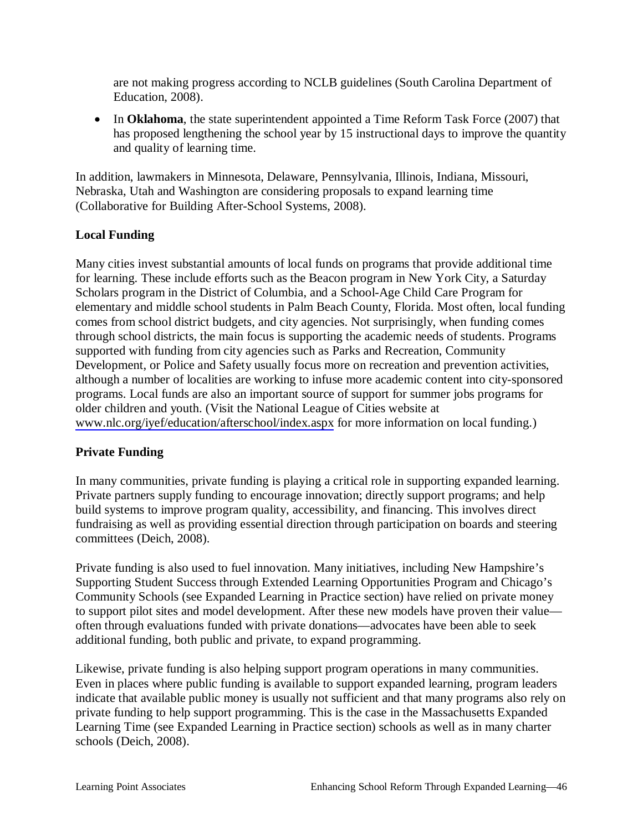are not making progress according to NCLB guidelines (South Carolina Department of Education, 2008).

• In **Oklahoma**, the state superintendent appointed a Time Reform Task Force (2007) that has proposed lengthening the school year by 15 instructional days to improve the quantity and quality of learning time.

In addition, lawmakers in Minnesota, Delaware, Pennsylvania, Illinois, Indiana, Missouri, Nebraska, Utah and Washington are considering proposals to expand learning time (Collaborative for Building After-School Systems, 2008).

### **Local Funding**

Many cities invest substantial amounts of local funds on programs that provide additional time for learning. These include efforts such as the Beacon program in New York City, a Saturday Scholars program in the District of Columbia, and a School-Age Child Care Program for elementary and middle school students in Palm Beach County, Florida. Most often, local funding comes from school district budgets, and city agencies. Not surprisingly, when funding comes through school districts, the main focus is supporting the academic needs of students. Programs supported with funding from city agencies such as Parks and Recreation, Community Development, or Police and Safety usually focus more on recreation and prevention activities, although a number of localities are working to infuse more academic content into city-sponsored programs. Local funds are also an important source of support for summer jobs programs for older children and youth. (Visit the National League of Cities website at [www.nlc.org/iyef/education/afterschool/index.aspx](http://www.nlc.org/iyef/education/afterschool/index.aspx) for more information on local funding.)

### **Private Funding**

In many communities, private funding is playing a critical role in supporting expanded learning. Private partners supply funding to encourage innovation; directly support programs; and help build systems to improve program quality, accessibility, and financing. This involves direct fundraising as well as providing essential direction through participation on boards and steering committees (Deich, 2008).

Private funding is also used to fuel innovation. Many initiatives, including New Hampshire's Supporting Student Success through Extended Learning Opportunities Program and Chicago's Community Schools (see Expanded Learning in Practice section) have relied on private money to support pilot sites and model development. After these new models have proven their value often through evaluations funded with private donations—advocates have been able to seek additional funding, both public and private, to expand programming.

Likewise, private funding is also helping support program operations in many communities. Even in places where public funding is available to support expanded learning, program leaders indicate that available public money is usually not sufficient and that many programs also rely on private funding to help support programming. This is the case in the Massachusetts Expanded Learning Time (see Expanded Learning in Practice section) schools as well as in many charter schools (Deich, 2008).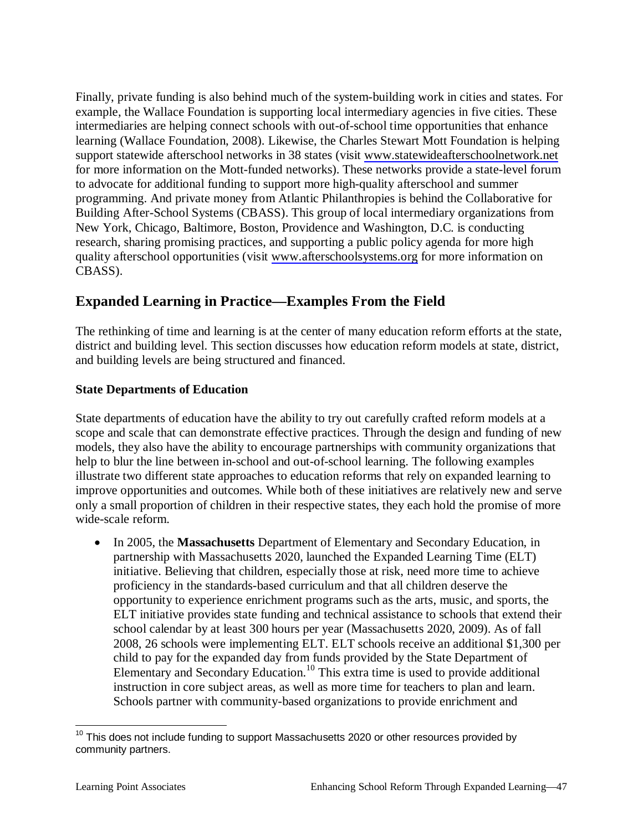Finally, private funding is also behind much of the system-building work in cities and states. For example, the Wallace Foundation is supporting local intermediary agencies in five cities. These intermediaries are helping connect schools with out-of-school time opportunities that enhance learning (Wallace Foundation, 2008). Likewise, the Charles Stewart Mott Foundation is helping support statewide afterschool networks in 38 states (visit [www.statewideafterschoolnetwork.net](http://www.statewideafterschoolnetwork.net/) for more information on the Mott-funded networks). These networks provide a state-level forum to advocate for additional funding to support more high-quality afterschool and summer programming. And private money from Atlantic Philanthropies is behind the Collaborative for Building After-School Systems (CBASS). This group of local intermediary organizations from New York, Chicago, Baltimore, Boston, Providence and Washington, D.C. is conducting research, sharing promising practices, and supporting a public policy agenda for more high quality afterschool opportunities (visit [www.afterschoolsystems.org](http://www.afterschoolsystems.org/) for more information on CBASS).

# **Expanded Learning in Practice—Examples From the Field**

The rethinking of time and learning is at the center of many education reform efforts at the state, district and building level. This section discusses how education reform models at state, district, and building levels are being structured and financed.

# **State Departments of Education**

State departments of education have the ability to try out carefully crafted reform models at a scope and scale that can demonstrate effective practices. Through the design and funding of new models, they also have the ability to encourage partnerships with community organizations that help to blur the line between in-school and out-of-school learning. The following examples illustrate two different state approaches to education reforms that rely on expanded learning to improve opportunities and outcomes. While both of these initiatives are relatively new and serve only a small proportion of children in their respective states, they each hold the promise of more wide-scale reform.

• In 2005, the Massachusetts Department of Elementary and Secondary Education, in partnership with Massachusetts 2020, launched the Expanded Learning Time (ELT) initiative. Believing that children, especially those at risk, need more time to achieve proficiency in the standards-based curriculum and that all children deserve the opportunity to experience enrichment programs such as the arts, music, and sports, the ELT initiative provides state funding and technical assistance to schools that extend their school calendar by at least 300 hours per year (Massachusetts 2020, 2009). As of fall 2008, 26 schools were implementing ELT. ELT schools receive an additional \$1,300 per child to pay for the expanded day from funds provided by the State Department of Elementary and Secondary Education.<sup>10</sup> This extra time is used to provide additional instruction in core subject areas, as well as more time for teachers to plan and learn. Schools partner with community-based organizations to provide enrichment and

 $10$  This does not include funding to support Massachusetts 2020 or other resources provided by community partners.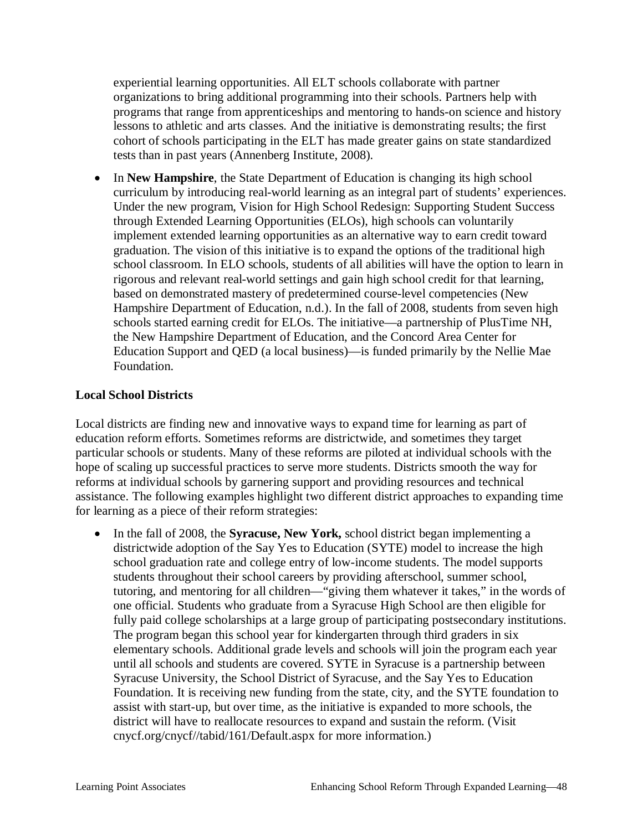experiential learning opportunities. All ELT schools collaborate with partner organizations to bring additional programming into their schools. Partners help with programs that range from apprenticeships and mentoring to hands-on science and history lessons to athletic and arts classes. And the initiative is demonstrating results; the first cohort of schools participating in the ELT has made greater gains on state standardized tests than in past years (Annenberg Institute, 2008).

• In **New Hampshire**, the State Department of Education is changing its high school curriculum by introducing real-world learning as an integral part of students' experiences. Under the new program, Vision for High School Redesign: Supporting Student Success through Extended Learning Opportunities (ELOs), high schools can voluntarily implement extended learning opportunities as an alternative way to earn credit toward graduation. The vision of this initiative is to expand the options of the traditional high school classroom. In ELO schools, students of all abilities will have the option to learn in rigorous and relevant real-world settings and gain high school credit for that learning, based on demonstrated mastery of predetermined course-level competencies (New Hampshire Department of Education, n.d.). In the fall of 2008, students from seven high schools started earning credit for ELOs. The initiative—a partnership of PlusTime NH, the New Hampshire Department of Education, and the Concord Area Center for Education Support and QED (a local business)—is funded primarily by the Nellie Mae Foundation.

### **Local School Districts**

Local districts are finding new and innovative ways to expand time for learning as part of education reform efforts. Sometimes reforms are districtwide, and sometimes they target particular schools or students. Many of these reforms are piloted at individual schools with the hope of scaling up successful practices to serve more students. Districts smooth the way for reforms at individual schools by garnering support and providing resources and technical assistance. The following examples highlight two different district approaches to expanding time for learning as a piece of their reform strategies:

• In the fall of 2008, the **Syracuse, New York,** school district began implementing a districtwide adoption of the Say Yes to Education (SYTE) model to increase the high school graduation rate and college entry of low-income students. The model supports students throughout their school careers by providing afterschool, summer school, tutoring, and mentoring for all children—"giving them whatever it takes," in the words of one official. Students who graduate from a Syracuse High School are then eligible for fully paid college scholarships at a large group of participating postsecondary institutions. The program began this school year for kindergarten through third graders in six elementary schools. Additional grade levels and schools will join the program each year until all schools and students are covered. SYTE in Syracuse is a partnership between Syracuse University, the School District of Syracuse, and the Say Yes to Education Foundation. It is receiving new funding from the state, city, and the SYTE foundation to assist with start-up, but over time, as the initiative is expanded to more schools, the district will have to reallocate resources to expand and sustain the reform. (Visit cnycf.org/cnycf//tabid/161/Default.aspx for more information.)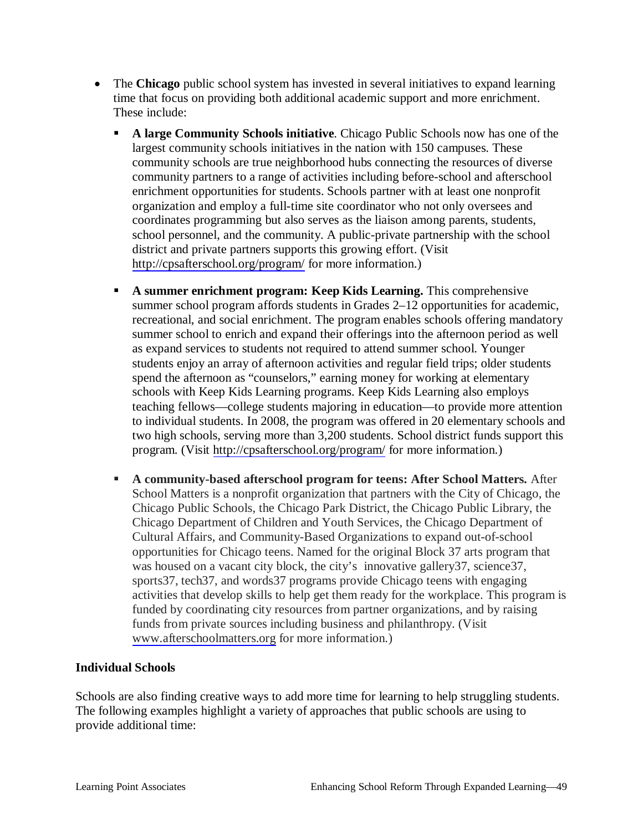- The **Chicago** public school system has invested in several initiatives to expand learning time that focus on providing both additional academic support and more enrichment. These include:
	- **A large Community Schools initiative**. Chicago Public Schools now has one of the largest community schools initiatives in the nation with 150 campuses. These community schools are true neighborhood hubs connecting the resources of diverse community partners to a range of activities including before-school and afterschool enrichment opportunities for students. Schools partner with at least one nonprofit organization and employ a full-time site coordinator who not only oversees and coordinates programming but also serves as the liaison among parents, students, school personnel, and the community. A public-private partnership with the school district and private partners supports this growing effort. (Visit <http://cpsafterschool.org/program/> for more information.)
	- **A summer enrichment program: Keep Kids Learning.** This comprehensive summer school program affords students in Grades 2–12 opportunities for academic, recreational, and social enrichment. The program enables schools offering mandatory summer school to enrich and expand their offerings into the afternoon period as well as expand services to students not required to attend summer school. Younger students enjoy an array of afternoon activities and regular field trips; older students spend the afternoon as "counselors," earning money for working at elementary schools with Keep Kids Learning programs. Keep Kids Learning also employs teaching fellows—college students majoring in education—to provide more attention to individual students. In 2008, the program was offered in 20 elementary schools and two high schools, serving more than 3,200 students. School district funds support this program. (Visit <http://cpsafterschool.org/program/> for more information.)
	- **A community-based afterschool program for teens: After School Matters.** After School Matters is a nonprofit organization that partners with the City of Chicago, the Chicago Public Schools, the Chicago Park District, the Chicago Public Library, the Chicago Department of Children and Youth Services, the Chicago Department of Cultural Affairs, and Community-Based Organizations to expand out-of-school opportunities for Chicago teens. Named for the original Block 37 arts program that was housed on a vacant city block, the city's innovative gallery37, science37, sports37, tech37, and words37 programs provide Chicago teens with engaging activities that develop skills to help get them ready for the workplace. This program is funded by coordinating city resources from partner organizations, and by raising funds from private sources including business and philanthropy. (Visit [www.afterschoolmatters.org](http://www.afterschoolmatters.org/) for more information.)

#### **Individual Schools**

Schools are also finding creative ways to add more time for learning to help struggling students. The following examples highlight a variety of approaches that public schools are using to provide additional time: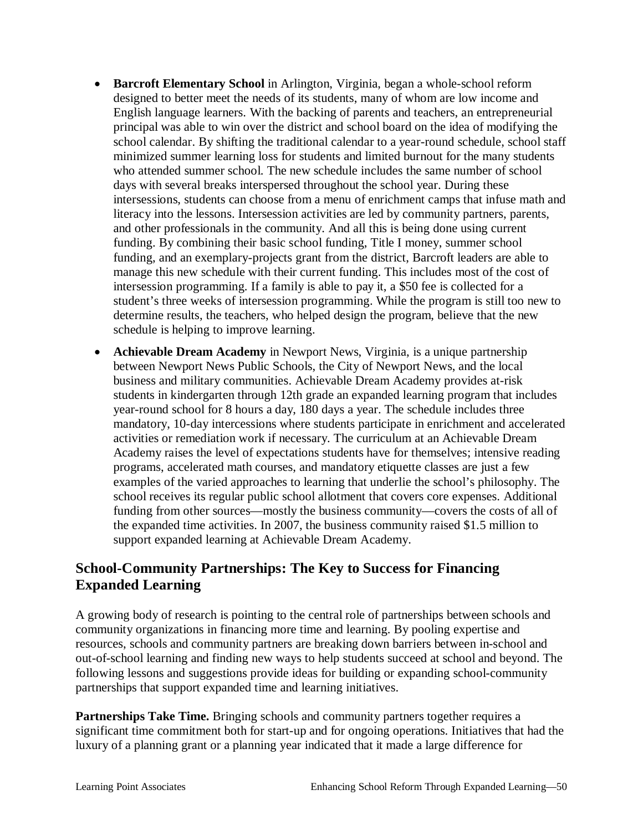- **Barcroft Elementary School** in Arlington, Virginia, began a whole-school reform designed to better meet the needs of its students, many of whom are low income and English language learners. With the backing of parents and teachers, an entrepreneurial principal was able to win over the district and school board on the idea of modifying the school calendar. By shifting the traditional calendar to a year-round schedule, school staff minimized summer learning loss for students and limited burnout for the many students who attended summer school. The new schedule includes the same number of school days with several breaks interspersed throughout the school year. During these intersessions, students can choose from a menu of enrichment camps that infuse math and literacy into the lessons. Intersession activities are led by community partners, parents, and other professionals in the community. And all this is being done using current funding. By combining their basic school funding, Title I money, summer school funding, and an exemplary-projects grant from the district, Barcroft leaders are able to manage this new schedule with their current funding. This includes most of the cost of intersession programming. If a family is able to pay it, a \$50 fee is collected for a student's three weeks of intersession programming. While the program is still too new to determine results, the teachers, who helped design the program, believe that the new schedule is helping to improve learning.
- **Achievable Dream Academy** in Newport News, Virginia, is a unique partnership between Newport News Public Schools, the City of Newport News, and the local business and military communities. Achievable Dream Academy provides at-risk students in kindergarten through 12th grade an expanded learning program that includes year-round school for 8 hours a day, 180 days a year. The schedule includes three mandatory, 10-day intercessions where students participate in enrichment and accelerated activities or remediation work if necessary. The curriculum at an Achievable Dream Academy raises the level of expectations students have for themselves; intensive reading programs, accelerated math courses, and mandatory etiquette classes are just a few examples of the varied approaches to learning that underlie the school's philosophy. The school receives its regular public school allotment that covers core expenses. Additional funding from other sources—mostly the business community—covers the costs of all of the expanded time activities. In 2007, the business community raised \$1.5 million to support expanded learning at Achievable Dream Academy.

# **School-Community Partnerships: The Key to Success for Financing Expanded Learning**

A growing body of research is pointing to the central role of partnerships between schools and community organizations in financing more time and learning. By pooling expertise and resources, schools and community partners are breaking down barriers between in-school and out-of-school learning and finding new ways to help students succeed at school and beyond. The following lessons and suggestions provide ideas for building or expanding school-community partnerships that support expanded time and learning initiatives.

**Partnerships Take Time.** Bringing schools and community partners together requires a significant time commitment both for start-up and for ongoing operations. Initiatives that had the luxury of a planning grant or a planning year indicated that it made a large difference for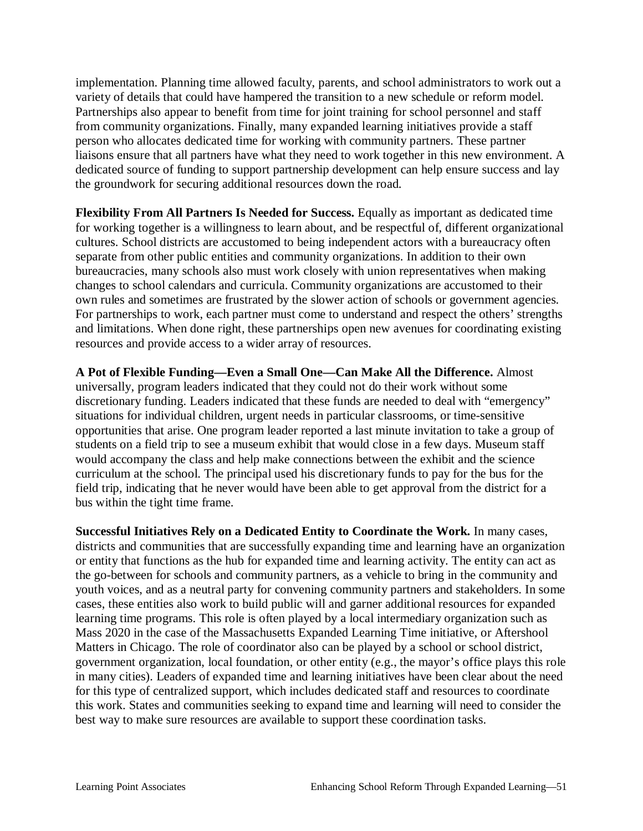implementation. Planning time allowed faculty, parents, and school administrators to work out a variety of details that could have hampered the transition to a new schedule or reform model. Partnerships also appear to benefit from time for joint training for school personnel and staff from community organizations. Finally, many expanded learning initiatives provide a staff person who allocates dedicated time for working with community partners. These partner liaisons ensure that all partners have what they need to work together in this new environment. A dedicated source of funding to support partnership development can help ensure success and lay the groundwork for securing additional resources down the road.

**Flexibility From All Partners Is Needed for Success.** Equally as important as dedicated time for working together is a willingness to learn about, and be respectful of, different organizational cultures. School districts are accustomed to being independent actors with a bureaucracy often separate from other public entities and community organizations. In addition to their own bureaucracies, many schools also must work closely with union representatives when making changes to school calendars and curricula. Community organizations are accustomed to their own rules and sometimes are frustrated by the slower action of schools or government agencies. For partnerships to work, each partner must come to understand and respect the others' strengths and limitations. When done right, these partnerships open new avenues for coordinating existing resources and provide access to a wider array of resources.

**A Pot of Flexible Funding—Even a Small One—Can Make All the Difference.** Almost universally, program leaders indicated that they could not do their work without some discretionary funding. Leaders indicated that these funds are needed to deal with "emergency" situations for individual children, urgent needs in particular classrooms, or time-sensitive opportunities that arise. One program leader reported a last minute invitation to take a group of students on a field trip to see a museum exhibit that would close in a few days. Museum staff would accompany the class and help make connections between the exhibit and the science curriculum at the school. The principal used his discretionary funds to pay for the bus for the field trip, indicating that he never would have been able to get approval from the district for a bus within the tight time frame.

**Successful Initiatives Rely on a Dedicated Entity to Coordinate the Work.** In many cases, districts and communities that are successfully expanding time and learning have an organization or entity that functions as the hub for expanded time and learning activity. The entity can act as the go-between for schools and community partners, as a vehicle to bring in the community and youth voices, and as a neutral party for convening community partners and stakeholders. In some cases, these entities also work to build public will and garner additional resources for expanded learning time programs. This role is often played by a local intermediary organization such as Mass 2020 in the case of the Massachusetts Expanded Learning Time initiative, or Aftershool Matters in Chicago. The role of coordinator also can be played by a school or school district, government organization, local foundation, or other entity (e.g., the mayor's office plays this role in many cities). Leaders of expanded time and learning initiatives have been clear about the need for this type of centralized support, which includes dedicated staff and resources to coordinate this work. States and communities seeking to expand time and learning will need to consider the best way to make sure resources are available to support these coordination tasks.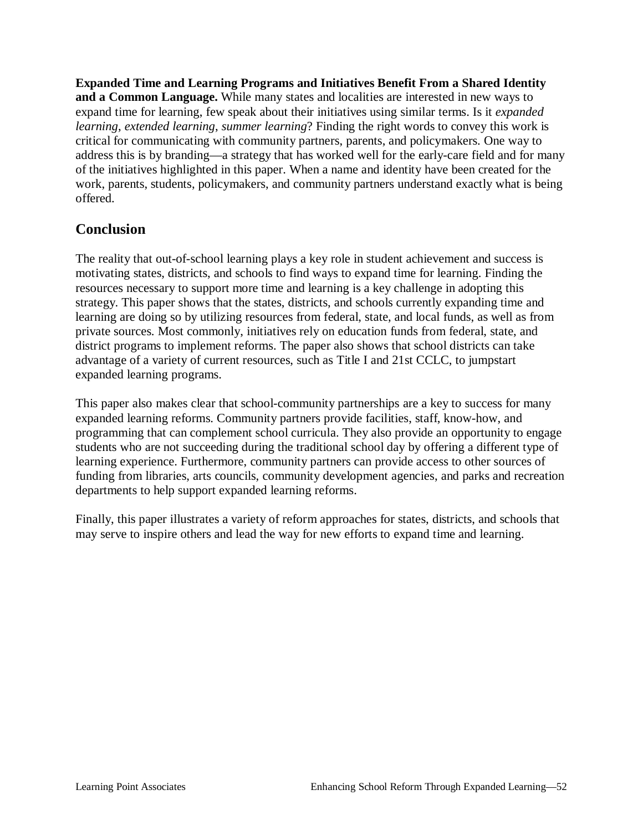**Expanded Time and Learning Programs and Initiatives Benefit From a Shared Identity and a Common Language.** While many states and localities are interested in new ways to expand time for learning, few speak about their initiatives using similar terms. Is it *expanded learning*, *extended learning*, *summer learning*? Finding the right words to convey this work is critical for communicating with community partners, parents, and policymakers. One way to address this is by branding—a strategy that has worked well for the early-care field and for many of the initiatives highlighted in this paper. When a name and identity have been created for the work, parents, students, policymakers, and community partners understand exactly what is being offered.

# **Conclusion**

The reality that out-of-school learning plays a key role in student achievement and success is motivating states, districts, and schools to find ways to expand time for learning. Finding the resources necessary to support more time and learning is a key challenge in adopting this strategy. This paper shows that the states, districts, and schools currently expanding time and learning are doing so by utilizing resources from federal, state, and local funds, as well as from private sources. Most commonly, initiatives rely on education funds from federal, state, and district programs to implement reforms. The paper also shows that school districts can take advantage of a variety of current resources, such as Title I and 21st CCLC, to jumpstart expanded learning programs.

This paper also makes clear that school-community partnerships are a key to success for many expanded learning reforms. Community partners provide facilities, staff, know-how, and programming that can complement school curricula. They also provide an opportunity to engage students who are not succeeding during the traditional school day by offering a different type of learning experience. Furthermore, community partners can provide access to other sources of funding from libraries, arts councils, community development agencies, and parks and recreation departments to help support expanded learning reforms.

Finally, this paper illustrates a variety of reform approaches for states, districts, and schools that may serve to inspire others and lead the way for new efforts to expand time and learning.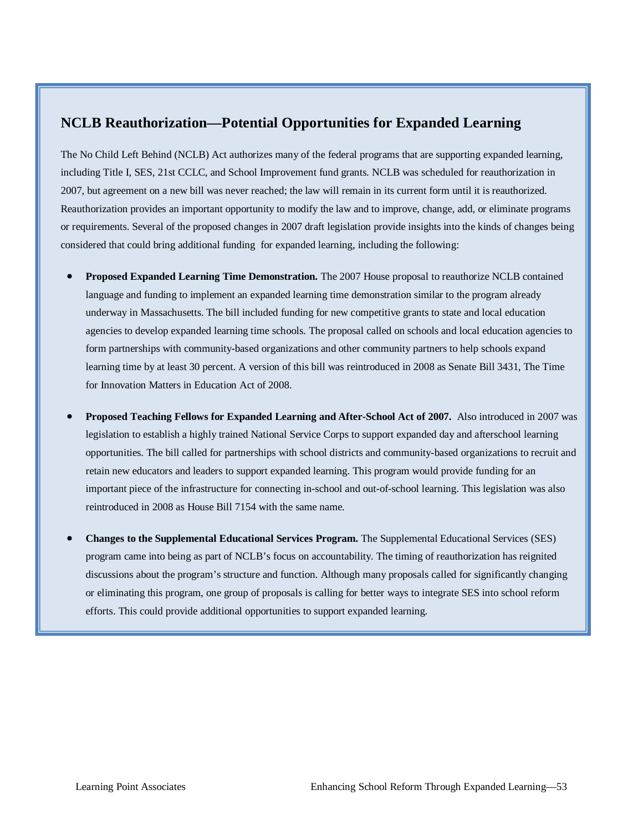# **NCLB Reauthorization—Potential Opportunities for Expanded Learning**

The No Child Left Behind (NCLB) Act authorizes many of the federal programs that are supporting expanded learning, including Title I, SES, 21st CCLC, and School Improvement fund grants. NCLB was scheduled for reauthorization in 2007, but agreement on a new bill was never reached; the law will remain in its current form until it is reauthorized. Reauthorization provides an important opportunity to modify the law and to improve, change, add, or eliminate programs or requirements. Several of the proposed changes in 2007 draft legislation provide insights into the kinds of changes being considered that could bring additional funding for expanded learning, including the following:

- x **Proposed Expanded Learning Time Demonstration.** The 2007 House proposal to reauthorize NCLB contained language and funding to implement an expanded learning time demonstration similar to the program already underway in Massachusetts. The bill included funding for new competitive grants to state and local education agencies to develop expanded learning time schools. The proposal called on schools and local education agencies to form partnerships with community-based organizations and other community partners to help schools expand learning time by at least 30 percent. A version of this bill was reintroduced in 2008 as Senate Bill 3431, The Time for Innovation Matters in Education Act of 2008.
- x **Proposed Teaching Fellows for Expanded Learning and After-School Act of 2007.** Also introduced in 2007 was legislation to establish a highly trained National Service Corps to support expanded day and afterschool learning opportunities. The bill called for partnerships with school districts and community-based organizations to recruit and retain new educators and leaders to support expanded learning. This program would provide funding for an important piece of the infrastructure for connecting in-school and out-of-school learning. This legislation was also reintroduced in 2008 as House Bill 7154 with the same name.
- x **Changes to the Supplemental Educational Services Program.** The Supplemental Educational Services (SES) program came into being as part of NCLB's focus on accountability. The timing of reauthorization has reignited discussions about the program's structure and function. Although many proposals called for significantly changing or eliminating this program, one group of proposals is calling for better ways to integrate SES into school reform efforts. This could provide additional opportunities to support expanded learning.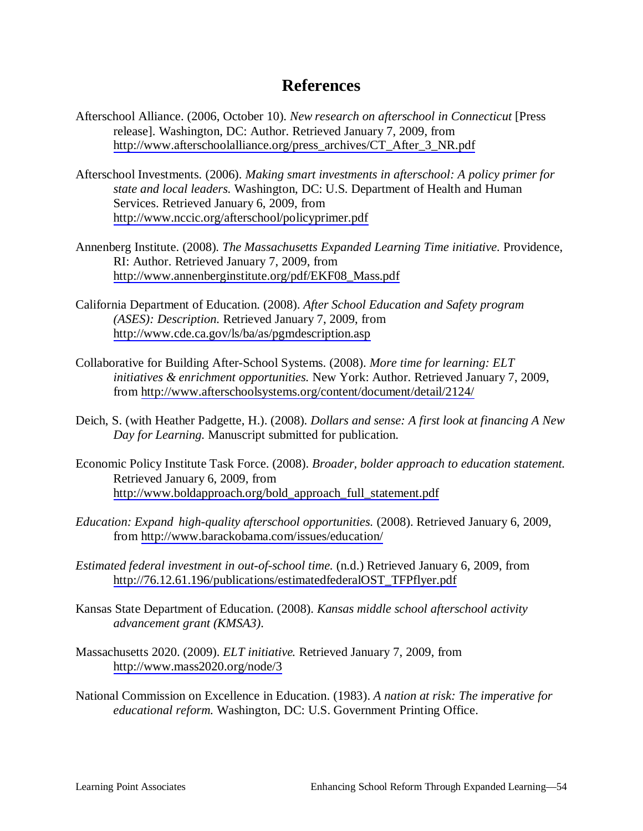# **References**

- Afterschool Alliance. (2006, October 10). *New research on afterschool in Connecticut* [Press release]. Washington, DC: Author. Retrieved January 7, 2009, from [http://www.afterschoolalliance.org/press\\_archives/CT\\_After\\_3\\_NR.pdf](http://www.afterschoolalliance.org/press_archives/CT_After_3_NR.pdf)
- Afterschool Investments. (2006). *Making smart investments in afterschool: A policy primer for state and local leaders.* Washington, DC: U.S. Department of Health and Human Services. Retrieved January 6, 2009, from <http://www.nccic.org/afterschool/policyprimer.pdf>
- Annenberg Institute. (2008). *The Massachusetts Expanded Learning Time initiative.* Providence, RI: Author. Retrieved January 7, 2009, from [http://www.annenberginstitute.org/pdf/EKF08\\_Mass.pdf](http://www.annenberginstitute.org/pdf/EKF08_Mass.pdf)
- California Department of Education. (2008). *After School Education and Safety program (ASES): Description.* Retrieved January 7, 2009, from <http://www.cde.ca.gov/ls/ba/as/pgmdescription.asp>
- Collaborative for Building After-School Systems. (2008). *More time for learning: ELT initiatives & enrichment opportunities.* New York: Author. Retrieved January 7, 2009, from<http://www.afterschoolsystems.org/content/document/detail/2124/>
- Deich, S. (with Heather Padgette, H.). (2008). *Dollars and sense: A first look at financing A New Day for Learning.* Manuscript submitted for publication.
- Economic Policy Institute Task Force. (2008). *Broader, bolder approach to education statement.*  Retrieved January 6, 2009, from [http://www.boldapproach.org/bold\\_approach\\_full\\_statement.pdf](http://www.boldapproach.org/bold_approach_full_statement.pdf)
- *Education: Expand high-quality afterschool opportunities.* (2008). Retrieved January 6, 2009, from<http://www.barackobama.com/issues/education/>
- *Estimated federal investment in out-of-school time.* (n.d.) Retrieved January 6, 2009, from [http://76.12.61.196/publications/estimatedfederalOST\\_TFPflyer.pdf](http://76.12.61.196/publications/estimatedfederalOST_TFPflyer.pdf)
- Kansas State Department of Education. (2008). *Kansas middle school afterschool activity advancement grant (KMSA3).*
- Massachusetts 2020. (2009). *ELT initiative.* Retrieved January 7, 2009, from <http://www.mass2020.org/node/3>
- National Commission on Excellence in Education. (1983). *A nation at risk: The imperative for educational reform.* Washington, DC: U.S. Government Printing Office.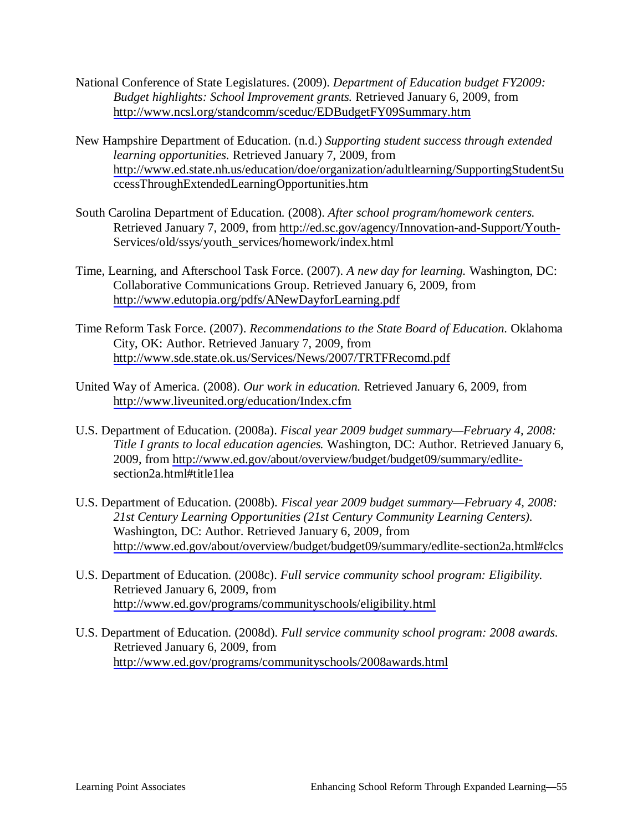- National Conference of State Legislatures. (2009). *Department of Education budget FY2009: Budget highlights: School Improvement grants.* Retrieved January 6, 2009, from <http://www.ncsl.org/standcomm/sceduc/EDBudgetFY09Summary.htm>
- New Hampshire Department of Education. (n.d.) *Supporting student success through extended learning opportunities.* Retrieved January 7, 2009, from <http://www.ed.state.nh.us/education/doe/organization/adultlearning/SupportingStudentSu> ccessThroughExtendedLearningOpportunities.htm
- South Carolina Department of Education. (2008). *After school program/homework centers.*  Retrieved January 7, 2009, from<http://ed.sc.gov/agency/Innovation-and-Support/Youth->Services/old/ssys/youth\_services/homework/index.html
- Time, Learning, and Afterschool Task Force. (2007). *A new day for learning.* Washington, DC: Collaborative Communications Group. Retrieved January 6, 2009, from <http://www.edutopia.org/pdfs/ANewDayforLearning.pdf>
- Time Reform Task Force. (2007). *Recommendations to the State Board of Education.* Oklahoma City, OK: Author. Retrieved January 7, 2009, from <http://www.sde.state.ok.us/Services/News/2007/TRTFRecomd.pdf>
- United Way of America. (2008). *Our work in education.* Retrieved January 6, 2009, from <http://www.liveunited.org/education/Index.cfm>
- U.S. Department of Education. (2008a). *Fiscal year 2009 budget summary—February 4, 2008: Title I grants to local education agencies.* Washington, DC: Author. Retrieved January 6, 2009, from [http://www.ed.gov/about/overview/budget/budget09/summary/edlite](http://www.ed.gov/about/overview/budget/budget09/summary/edlite-)section2a.html#title1lea
- U.S. Department of Education. (2008b). *Fiscal year 2009 budget summary—February 4, 2008: 21st Century Learning Opportunities (21st Century Community Learning Centers).*  Washington, DC: Author. Retrieved January 6, 2009, from <http://www.ed.gov/about/overview/budget/budget09/summary/edlite-section2a.html#clcs>
- U.S. Department of Education. (2008c). *Full service community school program: Eligibility.*  Retrieved January 6, 2009, from <http://www.ed.gov/programs/communityschools/eligibility.html>
- U.S. Department of Education. (2008d). *Full service community school program: 2008 awards.*  Retrieved January 6, 2009, from <http://www.ed.gov/programs/communityschools/2008awards.html>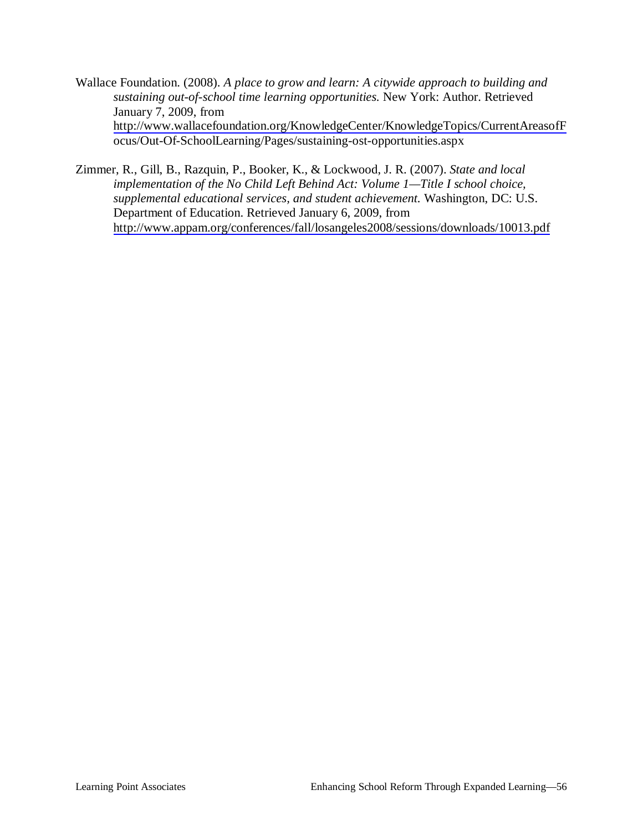- Wallace Foundation. (2008). *A place to grow and learn: A citywide approach to building and sustaining out-of-school time learning opportunities.* New York: Author. Retrieved January 7, 2009, from <http://www.wallacefoundation.org/KnowledgeCenter/KnowledgeTopics/CurrentAreasofF> ocus/Out-Of-SchoolLearning/Pages/sustaining-ost-opportunities.aspx
- Zimmer, R., Gill, B., Razquin, P., Booker, K., & Lockwood, J. R. (2007). *State and local implementation of the No Child Left Behind Act: Volume 1—Title I school choice, supplemental educational services, and student achievement.* Washington, DC: U.S. Department of Education. Retrieved January 6, 2009, from <http://www.appam.org/conferences/fall/losangeles2008/sessions/downloads/10013.pdf>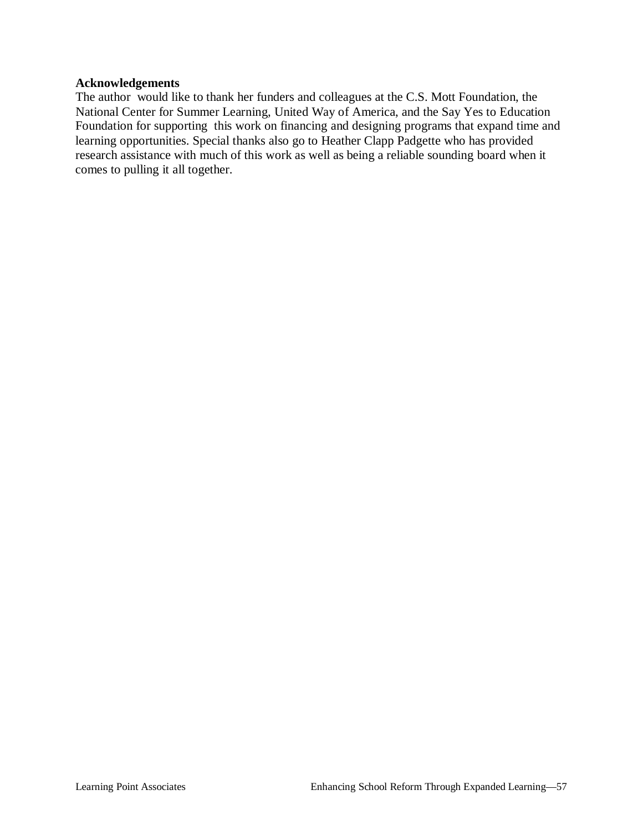#### **Acknowledgements**

The author would like to thank her funders and colleagues at the C.S. Mott Foundation, the National Center for Summer Learning, United Way of America, and the Say Yes to Education Foundation for supporting this work on financing and designing programs that expand time and learning opportunities. Special thanks also go to Heather Clapp Padgette who has provided research assistance with much of this work as well as being a reliable sounding board when it comes to pulling it all together.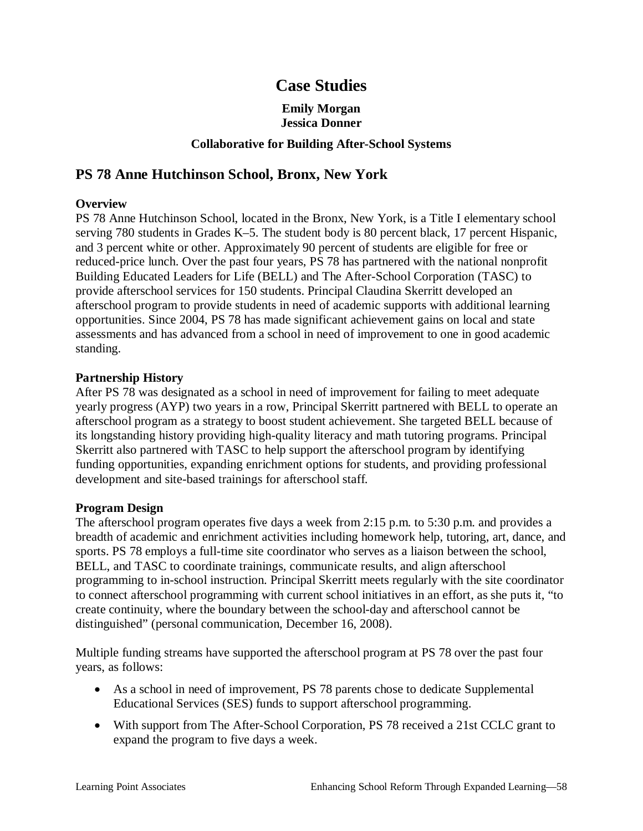# **Case Studies**

### **Emily Morgan Jessica Donner**

### **Collaborative for Building After-School Systems**

# **PS 78 Anne Hutchinson School, Bronx, New York**

### **Overview**

PS 78 Anne Hutchinson School, located in the Bronx, New York, is a Title I elementary school serving 780 students in Grades K–5. The student body is 80 percent black, 17 percent Hispanic, and 3 percent white or other. Approximately 90 percent of students are eligible for free or reduced-price lunch. Over the past four years, PS 78 has partnered with the national nonprofit Building Educated Leaders for Life (BELL) and The After-School Corporation (TASC) to provide afterschool services for 150 students. Principal Claudina Skerritt developed an afterschool program to provide students in need of academic supports with additional learning opportunities. Since 2004, PS 78 has made significant achievement gains on local and state assessments and has advanced from a school in need of improvement to one in good academic standing.

#### **Partnership History**

After PS 78 was designated as a school in need of improvement for failing to meet adequate yearly progress (AYP) two years in a row, Principal Skerritt partnered with BELL to operate an afterschool program as a strategy to boost student achievement. She targeted BELL because of its longstanding history providing high-quality literacy and math tutoring programs. Principal Skerritt also partnered with TASC to help support the afterschool program by identifying funding opportunities, expanding enrichment options for students, and providing professional development and site-based trainings for afterschool staff.

#### **Program Design**

The afterschool program operates five days a week from 2:15 p.m. to 5:30 p.m. and provides a breadth of academic and enrichment activities including homework help, tutoring, art, dance, and sports. PS 78 employs a full-time site coordinator who serves as a liaison between the school, BELL, and TASC to coordinate trainings, communicate results, and align afterschool programming to in-school instruction. Principal Skerritt meets regularly with the site coordinator to connect afterschool programming with current school initiatives in an effort, as she puts it, "to create continuity, where the boundary between the school-day and afterschool cannot be distinguished" (personal communication, December 16, 2008).

Multiple funding streams have supported the afterschool program at PS 78 over the past four years, as follows:

- As a school in need of improvement, PS 78 parents chose to dedicate Supplemental Educational Services (SES) funds to support afterschool programming.
- With support from The After-School Corporation, PS 78 received a 21st CCLC grant to expand the program to five days a week.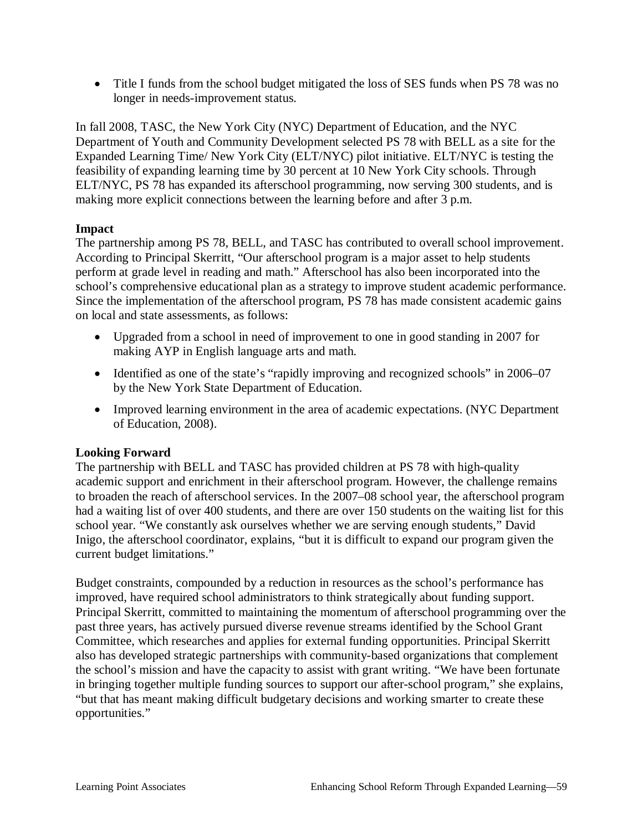• Title I funds from the school budget mitigated the loss of SES funds when PS 78 was no longer in needs-improvement status.

In fall 2008, TASC, the New York City (NYC) Department of Education, and the NYC Department of Youth and Community Development selected PS 78 with BELL as a site for the Expanded Learning Time/ New York City (ELT/NYC) pilot initiative. ELT/NYC is testing the feasibility of expanding learning time by 30 percent at 10 New York City schools. Through ELT/NYC, PS 78 has expanded its afterschool programming, now serving 300 students, and is making more explicit connections between the learning before and after 3 p.m.

### **Impact**

The partnership among PS 78, BELL, and TASC has contributed to overall school improvement. According to Principal Skerritt, "Our afterschool program is a major asset to help students perform at grade level in reading and math." Afterschool has also been incorporated into the school's comprehensive educational plan as a strategy to improve student academic performance. Since the implementation of the afterschool program, PS 78 has made consistent academic gains on local and state assessments, as follows:

- Upgraded from a school in need of improvement to one in good standing in 2007 for making AYP in English language arts and math.
- Identified as one of the state's "rapidly improving and recognized schools" in 2006–07 by the New York State Department of Education.
- Improved learning environment in the area of academic expectations. (NYC Department of Education, 2008).

### **Looking Forward**

The partnership with BELL and TASC has provided children at PS 78 with high-quality academic support and enrichment in their afterschool program. However, the challenge remains to broaden the reach of afterschool services. In the 2007–08 school year, the afterschool program had a waiting list of over 400 students, and there are over 150 students on the waiting list for this school year. "We constantly ask ourselves whether we are serving enough students," David Inigo, the afterschool coordinator, explains, "but it is difficult to expand our program given the current budget limitations."

Budget constraints, compounded by a reduction in resources as the school's performance has improved, have required school administrators to think strategically about funding support. Principal Skerritt, committed to maintaining the momentum of afterschool programming over the past three years, has actively pursued diverse revenue streams identified by the School Grant Committee, which researches and applies for external funding opportunities. Principal Skerritt also has developed strategic partnerships with community-based organizations that complement the school's mission and have the capacity to assist with grant writing. "We have been fortunate in bringing together multiple funding sources to support our after-school program," she explains, "but that has meant making difficult budgetary decisions and working smarter to create these opportunities."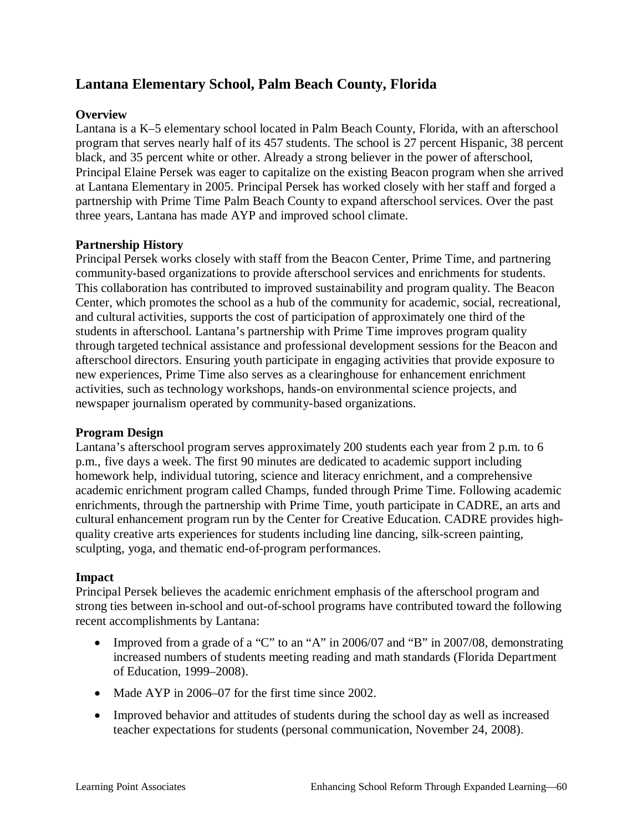# **Lantana Elementary School, Palm Beach County, Florida**

### **Overview**

Lantana is a K–5 elementary school located in Palm Beach County, Florida, with an afterschool program that serves nearly half of its 457 students. The school is 27 percent Hispanic, 38 percent black, and 35 percent white or other. Already a strong believer in the power of afterschool, Principal Elaine Persek was eager to capitalize on the existing Beacon program when she arrived at Lantana Elementary in 2005. Principal Persek has worked closely with her staff and forged a partnership with Prime Time Palm Beach County to expand afterschool services. Over the past three years, Lantana has made AYP and improved school climate.

#### **Partnership History**

Principal Persek works closely with staff from the Beacon Center, Prime Time, and partnering community-based organizations to provide afterschool services and enrichments for students. This collaboration has contributed to improved sustainability and program quality. The Beacon Center, which promotes the school as a hub of the community for academic, social, recreational, and cultural activities, supports the cost of participation of approximately one third of the students in afterschool. Lantana's partnership with Prime Time improves program quality through targeted technical assistance and professional development sessions for the Beacon and afterschool directors. Ensuring youth participate in engaging activities that provide exposure to new experiences, Prime Time also serves as a clearinghouse for enhancement enrichment activities, such as technology workshops, hands-on environmental science projects, and newspaper journalism operated by community-based organizations.

#### **Program Design**

Lantana's afterschool program serves approximately 200 students each year from 2 p.m. to 6 p.m., five days a week. The first 90 minutes are dedicated to academic support including homework help, individual tutoring, science and literacy enrichment, and a comprehensive academic enrichment program called Champs, funded through Prime Time. Following academic enrichments, through the partnership with Prime Time, youth participate in CADRE, an arts and cultural enhancement program run by the Center for Creative Education. CADRE provides highquality creative arts experiences for students including line dancing, silk-screen painting, sculpting, yoga, and thematic end-of-program performances.

#### **Impact**

Principal Persek believes the academic enrichment emphasis of the afterschool program and strong ties between in-school and out-of-school programs have contributed toward the following recent accomplishments by Lantana:

- Improved from a grade of a "C" to an "A" in 2006/07 and "B" in 2007/08, demonstrating increased numbers of students meeting reading and math standards (Florida Department of Education, 1999–2008).
- Made AYP in 2006–07 for the first time since 2002.
- Improved behavior and attitudes of students during the school day as well as increased teacher expectations for students (personal communication, November 24, 2008).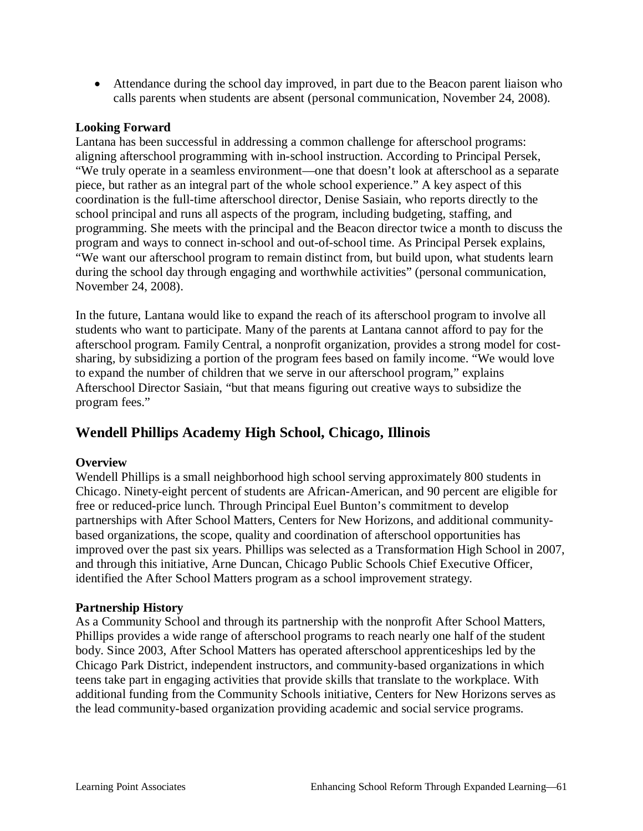• Attendance during the school day improved, in part due to the Beacon parent liaison who calls parents when students are absent (personal communication, November 24, 2008).

### **Looking Forward**

Lantana has been successful in addressing a common challenge for afterschool programs: aligning afterschool programming with in-school instruction. According to Principal Persek, "We truly operate in a seamless environment—one that doesn't look at afterschool as a separate piece, but rather as an integral part of the whole school experience." A key aspect of this coordination is the full-time afterschool director, Denise Sasiain, who reports directly to the school principal and runs all aspects of the program, including budgeting, staffing, and programming. She meets with the principal and the Beacon director twice a month to discuss the program and ways to connect in-school and out-of-school time. As Principal Persek explains, "We want our afterschool program to remain distinct from, but build upon, what students learn during the school day through engaging and worthwhile activities" (personal communication, November 24, 2008).

In the future, Lantana would like to expand the reach of its afterschool program to involve all students who want to participate. Many of the parents at Lantana cannot afford to pay for the afterschool program. Family Central, a nonprofit organization, provides a strong model for costsharing, by subsidizing a portion of the program fees based on family income. "We would love to expand the number of children that we serve in our afterschool program," explains Afterschool Director Sasiain, "but that means figuring out creative ways to subsidize the program fees."

# **Wendell Phillips Academy High School, Chicago, Illinois**

#### **Overview**

Wendell Phillips is a small neighborhood high school serving approximately 800 students in Chicago. Ninety-eight percent of students are African-American, and 90 percent are eligible for free or reduced-price lunch. Through Principal Euel Bunton's commitment to develop partnerships with After School Matters, Centers for New Horizons, and additional communitybased organizations, the scope, quality and coordination of afterschool opportunities has improved over the past six years. Phillips was selected as a Transformation High School in 2007, and through this initiative, Arne Duncan, Chicago Public Schools Chief Executive Officer, identified the After School Matters program as a school improvement strategy.

#### **Partnership History**

As a Community School and through its partnership with the nonprofit After School Matters, Phillips provides a wide range of afterschool programs to reach nearly one half of the student body. Since 2003, After School Matters has operated afterschool apprenticeships led by the Chicago Park District, independent instructors, and community-based organizations in which teens take part in engaging activities that provide skills that translate to the workplace. With additional funding from the Community Schools initiative, Centers for New Horizons serves as the lead community-based organization providing academic and social service programs.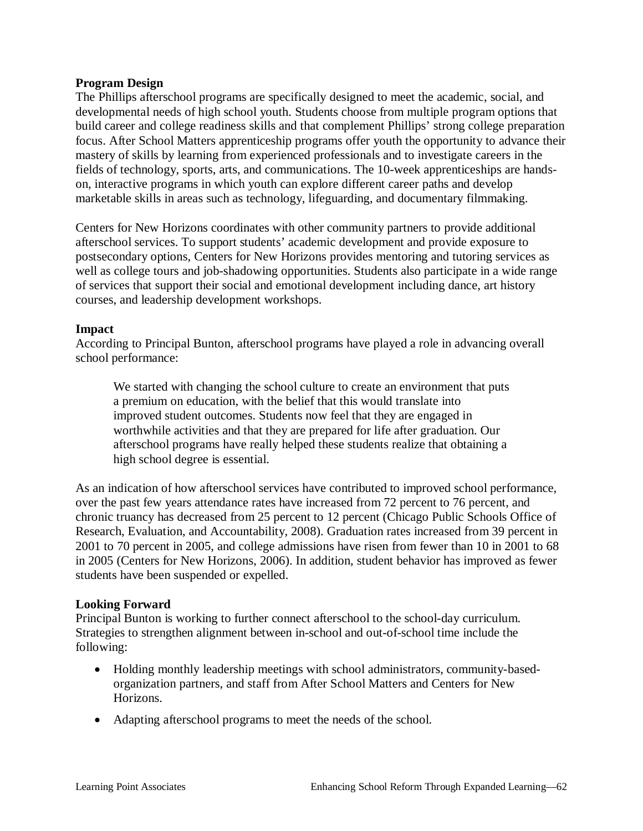#### **Program Design**

The Phillips afterschool programs are specifically designed to meet the academic, social, and developmental needs of high school youth. Students choose from multiple program options that build career and college readiness skills and that complement Phillips' strong college preparation focus. After School Matters apprenticeship programs offer youth the opportunity to advance their mastery of skills by learning from experienced professionals and to investigate careers in the fields of technology, sports, arts, and communications. The 10-week apprenticeships are handson, interactive programs in which youth can explore different career paths and develop marketable skills in areas such as technology, lifeguarding, and documentary filmmaking.

Centers for New Horizons coordinates with other community partners to provide additional afterschool services. To support students' academic development and provide exposure to postsecondary options, Centers for New Horizons provides mentoring and tutoring services as well as college tours and job-shadowing opportunities. Students also participate in a wide range of services that support their social and emotional development including dance, art history courses, and leadership development workshops.

#### **Impact**

According to Principal Bunton, afterschool programs have played a role in advancing overall school performance:

We started with changing the school culture to create an environment that puts a premium on education, with the belief that this would translate into improved student outcomes. Students now feel that they are engaged in worthwhile activities and that they are prepared for life after graduation. Our afterschool programs have really helped these students realize that obtaining a high school degree is essential.

As an indication of how afterschool services have contributed to improved school performance, over the past few years attendance rates have increased from 72 percent to 76 percent, and chronic truancy has decreased from 25 percent to 12 percent (Chicago Public Schools Office of Research, Evaluation, and Accountability, 2008). Graduation rates increased from 39 percent in 2001 to 70 percent in 2005, and college admissions have risen from fewer than 10 in 2001 to 68 in 2005 (Centers for New Horizons, 2006). In addition, student behavior has improved as fewer students have been suspended or expelled.

#### **Looking Forward**

Principal Bunton is working to further connect afterschool to the school-day curriculum. Strategies to strengthen alignment between in-school and out-of-school time include the following:

- Holding monthly leadership meetings with school administrators, community-basedorganization partners, and staff from After School Matters and Centers for New Horizons.
- Adapting afterschool programs to meet the needs of the school.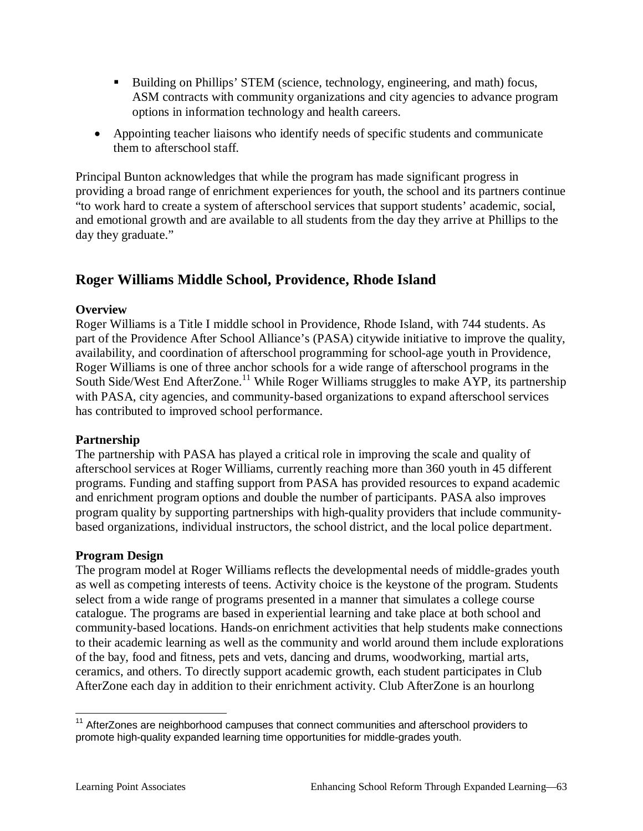- Building on Phillips' STEM (science, technology, engineering, and math) focus, ASM contracts with community organizations and city agencies to advance program options in information technology and health careers.
- Appointing teacher liaisons who identify needs of specific students and communicate them to afterschool staff.

Principal Bunton acknowledges that while the program has made significant progress in providing a broad range of enrichment experiences for youth, the school and its partners continue "to work hard to create a system of afterschool services that support students' academic, social, and emotional growth and are available to all students from the day they arrive at Phillips to the day they graduate."

# **Roger Williams Middle School, Providence, Rhode Island**

### **Overview**

Roger Williams is a Title I middle school in Providence, Rhode Island, with 744 students. As part of the Providence After School Alliance's (PASA) citywide initiative to improve the quality, availability, and coordination of afterschool programming for school-age youth in Providence, Roger Williams is one of three anchor schools for a wide range of afterschool programs in the South Side/West End AfterZone.<sup>11</sup> While Roger Williams struggles to make AYP, its partnership with PASA, city agencies, and community-based organizations to expand afterschool services has contributed to improved school performance.

#### **Partnership**

The partnership with PASA has played a critical role in improving the scale and quality of afterschool services at Roger Williams, currently reaching more than 360 youth in 45 different programs. Funding and staffing support from PASA has provided resources to expand academic and enrichment program options and double the number of participants. PASA also improves program quality by supporting partnerships with high-quality providers that include communitybased organizations, individual instructors, the school district, and the local police department.

#### **Program Design**

The program model at Roger Williams reflects the developmental needs of middle-grades youth as well as competing interests of teens. Activity choice is the keystone of the program. Students select from a wide range of programs presented in a manner that simulates a college course catalogue. The programs are based in experiential learning and take place at both school and community-based locations. Hands-on enrichment activities that help students make connections to their academic learning as well as the community and world around them include explorations of the bay, food and fitness, pets and vets, dancing and drums, woodworking, martial arts, ceramics, and others. To directly support academic growth, each student participates in Club AfterZone each day in addition to their enrichment activity. Club AfterZone is an hourlong

<sup>&</sup>lt;sup>11</sup> AfterZones are neighborhood campuses that connect communities and afterschool providers to promote high-quality expanded learning time opportunities for middle-grades youth.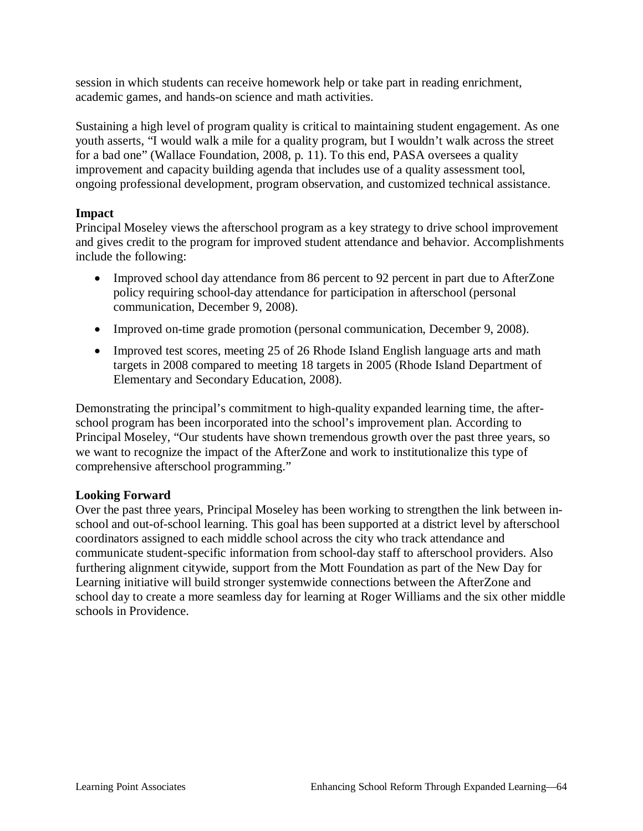session in which students can receive homework help or take part in reading enrichment, academic games, and hands-on science and math activities.

Sustaining a high level of program quality is critical to maintaining student engagement. As one youth asserts, "I would walk a mile for a quality program, but I wouldn't walk across the street for a bad one" (Wallace Foundation, 2008, p. 11). To this end, PASA oversees a quality improvement and capacity building agenda that includes use of a quality assessment tool, ongoing professional development, program observation, and customized technical assistance.

### **Impact**

Principal Moseley views the afterschool program as a key strategy to drive school improvement and gives credit to the program for improved student attendance and behavior. Accomplishments include the following:

- Improved school day attendance from 86 percent to 92 percent in part due to AfterZone policy requiring school-day attendance for participation in afterschool (personal communication, December 9, 2008).
- Improved on-time grade promotion (personal communication, December 9, 2008).
- Improved test scores, meeting 25 of 26 Rhode Island English language arts and math targets in 2008 compared to meeting 18 targets in 2005 (Rhode Island Department of Elementary and Secondary Education, 2008).

Demonstrating the principal's commitment to high-quality expanded learning time, the afterschool program has been incorporated into the school's improvement plan. According to Principal Moseley, "Our students have shown tremendous growth over the past three years, so we want to recognize the impact of the AfterZone and work to institutionalize this type of comprehensive afterschool programming."

#### **Looking Forward**

Over the past three years, Principal Moseley has been working to strengthen the link between inschool and out-of-school learning. This goal has been supported at a district level by afterschool coordinators assigned to each middle school across the city who track attendance and communicate student-specific information from school-day staff to afterschool providers. Also furthering alignment citywide, support from the Mott Foundation as part of the New Day for Learning initiative will build stronger systemwide connections between the AfterZone and school day to create a more seamless day for learning at Roger Williams and the six other middle schools in Providence.